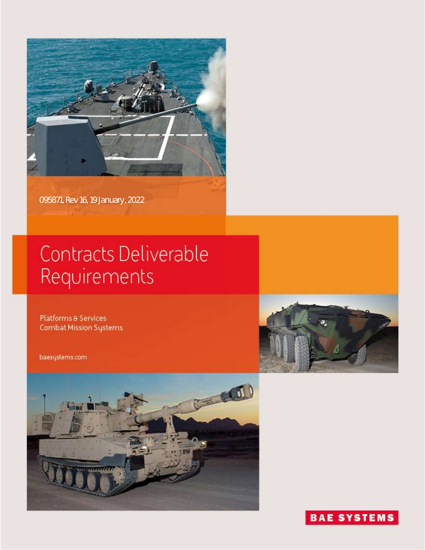

095871, Rev 16, 19 January, 2022

# Contracts Deliverable Requirements

Platforms & Services Combat Mission Systems

baesystems.com





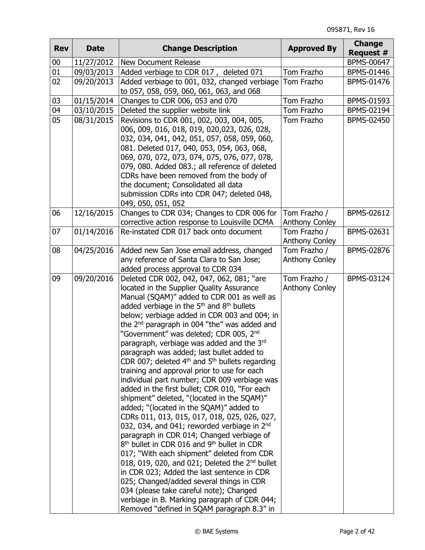| <b>Rev</b> | <b>Date</b> | <b>Change Description</b>                                                                                                                                                                                                                                                                                                                                                                                                                                                                                                                                                                                                                                                                                                                                                                                                                                                                                                                                                                                                                                                                                                                                                                                                                                                                                  | <b>Approved By</b>                    | <b>Change</b><br>Request # |
|------------|-------------|------------------------------------------------------------------------------------------------------------------------------------------------------------------------------------------------------------------------------------------------------------------------------------------------------------------------------------------------------------------------------------------------------------------------------------------------------------------------------------------------------------------------------------------------------------------------------------------------------------------------------------------------------------------------------------------------------------------------------------------------------------------------------------------------------------------------------------------------------------------------------------------------------------------------------------------------------------------------------------------------------------------------------------------------------------------------------------------------------------------------------------------------------------------------------------------------------------------------------------------------------------------------------------------------------------|---------------------------------------|----------------------------|
| $00\,$     | 11/27/2012  | <b>New Document Release</b>                                                                                                                                                                                                                                                                                                                                                                                                                                                                                                                                                                                                                                                                                                                                                                                                                                                                                                                                                                                                                                                                                                                                                                                                                                                                                |                                       | BPMS-00647                 |
| 01         | 09/03/2013  | Added verbiage to CDR 017, deleted 071                                                                                                                                                                                                                                                                                                                                                                                                                                                                                                                                                                                                                                                                                                                                                                                                                                                                                                                                                                                                                                                                                                                                                                                                                                                                     | Tom Frazho                            | BPMS-01446                 |
| 02         | 09/20/2013  | Added verbiage to 001, 032, changed verbiage<br>to 057, 058, 059, 060, 061, 063, and 068                                                                                                                                                                                                                                                                                                                                                                                                                                                                                                                                                                                                                                                                                                                                                                                                                                                                                                                                                                                                                                                                                                                                                                                                                   | Tom Frazho                            | BPMS-01476                 |
| 03         | 01/15/2014  | Changes to CDR 006, 053 and 070                                                                                                                                                                                                                                                                                                                                                                                                                                                                                                                                                                                                                                                                                                                                                                                                                                                                                                                                                                                                                                                                                                                                                                                                                                                                            | Tom Frazho                            | BPMS-01593                 |
| 04         | 03/10/2015  | Deleted the supplier website link                                                                                                                                                                                                                                                                                                                                                                                                                                                                                                                                                                                                                                                                                                                                                                                                                                                                                                                                                                                                                                                                                                                                                                                                                                                                          | Tom Frazho                            | BPMS-02194                 |
| 05         | 08/31/2015  | Revisions to CDR 001, 002, 003, 004, 005,<br>006, 009, 016, 018, 019, 020,023, 026, 028,<br>032, 034, 041, 042, 051, 057, 058, 059, 060,<br>081. Deleted 017, 040, 053, 054, 063, 068,<br>069, 070, 072, 073, 074, 075, 076, 077, 078,<br>079, 080. Added 083.; all reference of deleted<br>CDRs have been removed from the body of<br>the document; Consolidated all data<br>submission CDRs into CDR 047; deleted 048,<br>049, 050, 051, 052                                                                                                                                                                                                                                                                                                                                                                                                                                                                                                                                                                                                                                                                                                                                                                                                                                                             | Tom Frazho                            | BPMS-02450                 |
| 06         | 12/16/2015  | Changes to CDR 034; Changes to CDR 006 for<br>corrective action response to Louisville DCMA                                                                                                                                                                                                                                                                                                                                                                                                                                                                                                                                                                                                                                                                                                                                                                                                                                                                                                                                                                                                                                                                                                                                                                                                                | Tom Frazho /<br><b>Anthony Conley</b> | BPMS-02612                 |
| 07         | 01/14/2016  | Re-instated CDR 017 back onto document                                                                                                                                                                                                                                                                                                                                                                                                                                                                                                                                                                                                                                                                                                                                                                                                                                                                                                                                                                                                                                                                                                                                                                                                                                                                     | Tom Frazho /<br><b>Anthony Conley</b> | BPMS-02631                 |
| 08         | 04/25/2016  | Added new San Jose email address, changed<br>any reference of Santa Clara to San Jose;<br>added process approval to CDR 034                                                                                                                                                                                                                                                                                                                                                                                                                                                                                                                                                                                                                                                                                                                                                                                                                                                                                                                                                                                                                                                                                                                                                                                | Tom Frazho /<br><b>Anthony Conley</b> | BPMS-02876                 |
| 09         | 09/20/2016  | Deleted CDR 002, 042, 047, 062, 081; "are<br>located in the Supplier Quality Assurance<br>Manual (SQAM)" added to CDR 001 as well as<br>added verbiage in the $5th$ and $8th$ bullets<br>below; verbiage added in CDR 003 and 004; in<br>the 2 <sup>nd</sup> paragraph in 004 "the" was added and<br>"Government" was deleted; CDR 005, 2 <sup>nd</sup><br>paragraph, verbiage was added and the 3rd<br>paragraph was added; last bullet added to<br>CDR 007; deleted $4th$ and $5th$ bullets regarding<br>training and approval prior to use for each<br>individual part number; CDR 009 verbiage was<br>added in the first bullet; CDR 010, "For each<br>shipment" deleted, "(located in the SQAM)"<br>added; "(located in the SQAM)" added to<br>CDRs 011, 013, 015, 017, 018, 025, 026, 027,<br>032, 034, and 041; reworded verbiage in $2nd$<br>paragraph in CDR 014; Changed verbiage of<br>8 <sup>th</sup> bullet in CDR 016 and 9 <sup>th</sup> bullet in CDR<br>017; "With each shipment" deleted from CDR<br>018, 019, 020, and 021; Deleted the $2nd$ bullet<br>in CDR 023; Added the last sentence in CDR<br>025; Changed/added several things in CDR<br>034 (please take careful note); Changed<br>verbiage in B. Marking paragraph of CDR 044;<br>Removed "defined in SQAM paragraph 8.3" in | Tom Frazho /<br><b>Anthony Conley</b> | BPMS-03124                 |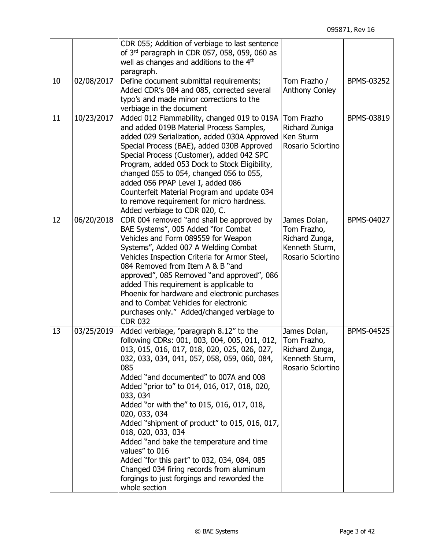|    |            | CDR 055; Addition of verbiage to last sentence<br>of 3rd paragraph in CDR 057, 058, 059, 060 as<br>well as changes and additions to the 4th<br>paragraph.                                                                                                                                                                                                                                                                                                                                                                                                                                                                                                           |                                                                                      |                   |
|----|------------|---------------------------------------------------------------------------------------------------------------------------------------------------------------------------------------------------------------------------------------------------------------------------------------------------------------------------------------------------------------------------------------------------------------------------------------------------------------------------------------------------------------------------------------------------------------------------------------------------------------------------------------------------------------------|--------------------------------------------------------------------------------------|-------------------|
| 10 | 02/08/2017 | Define document submittal requirements;<br>Added CDR's 084 and 085, corrected several<br>typo's and made minor corrections to the<br>verbiage in the document                                                                                                                                                                                                                                                                                                                                                                                                                                                                                                       | Tom Frazho /<br><b>Anthony Conley</b>                                                | BPMS-03252        |
| 11 | 10/23/2017 | Added 012 Flammability, changed 019 to 019A<br>and added 019B Material Process Samples,<br>added 029 Serialization, added 030A Approved<br>Special Process (BAE), added 030B Approved<br>Special Process (Customer), added 042 SPC<br>Program, added 053 Dock to Stock Eligibility,<br>changed 055 to 054, changed 056 to 055,<br>added 056 PPAP Level I, added 086<br>Counterfeit Material Program and update 034<br>to remove requirement for micro hardness.<br>Added verbiage to CDR 020, C.                                                                                                                                                                    | Tom Frazho<br>Richard Zuniga<br>Ken Sturm<br>Rosario Sciortino                       | BPMS-03819        |
| 12 | 06/20/2018 | CDR 004 removed "and shall be approved by<br>BAE Systems", 005 Added "for Combat<br>Vehicles and Form 089559 for Weapon<br>Systems", Added 007 A Welding Combat<br>Vehicles Inspection Criteria for Armor Steel,<br>084 Removed from Item A & B "and<br>approved", 085 Removed "and approved", 086<br>added This requirement is applicable to<br>Phoenix for hardware and electronic purchases<br>and to Combat Vehicles for electronic<br>purchases only." Added/changed verbiage to<br><b>CDR 032</b>                                                                                                                                                             | James Dolan,<br>Tom Frazho,<br>Richard Zunga,<br>Kenneth Sturm,<br>Rosario Sciortino | BPMS-04027        |
| 13 | 03/25/2019 | Added verbiage, "paragraph 8.12" to the<br>following CDRs: 001, 003, 004, 005, 011, 012,<br>013, 015, 016, 017, 018, 020, 025, 026, 027,<br>032, 033, 034, 041, 057, 058, 059, 060, 084,<br>085<br>Added "and documented" to 007A and 008<br>Added "prior to" to 014, 016, 017, 018, 020,<br>033, 034<br>Added "or with the" to 015, 016, 017, 018,<br>020, 033, 034<br>Added "shipment of product" to 015, 016, 017,<br>018, 020, 033, 034<br>Added "and bake the temperature and time<br>values" to 016<br>Added "for this part" to 032, 034, 084, 085<br>Changed 034 firing records from aluminum<br>forgings to just forgings and reworded the<br>whole section | James Dolan,<br>Tom Frazho,<br>Richard Zunga,<br>Kenneth Sturm,<br>Rosario Sciortino | <b>BPMS-04525</b> |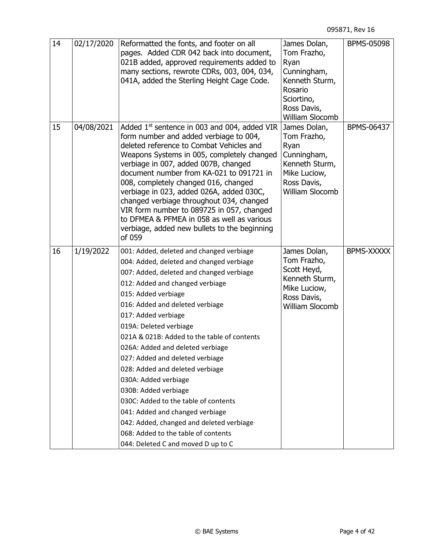| 02/17/2020 | Reformatted the fonts, and footer on all<br>pages. Added CDR 042 back into document,                                                                                                                                                                                                                                                                                                                                                                                                                                                                                                                                                                  | James Dolan,<br>Tom Frazho,                                                                                            | <b>BPMS-05098</b> |
|------------|-------------------------------------------------------------------------------------------------------------------------------------------------------------------------------------------------------------------------------------------------------------------------------------------------------------------------------------------------------------------------------------------------------------------------------------------------------------------------------------------------------------------------------------------------------------------------------------------------------------------------------------------------------|------------------------------------------------------------------------------------------------------------------------|-------------------|
|            | 021B added, approved requirements added to<br>many sections, rewrote CDRs, 003, 004, 034,<br>041A, added the Sterling Height Cage Code.                                                                                                                                                                                                                                                                                                                                                                                                                                                                                                               | Ryan<br>Cunningham,<br>Kenneth Sturm,<br>Rosario<br>Sciortino,<br>Ross Davis,<br>William Slocomb                       |                   |
| 04/08/2021 | Added $1st$ sentence in 003 and 004, added VIR<br>form number and added verbiage to 004,<br>deleted reference to Combat Vehicles and<br>Weapons Systems in 005, completely changed<br>verbiage in 007, added 007B, changed<br>document number from KA-021 to 091721 in<br>008, completely changed 016, changed<br>verbiage in 023, added 026A, added 030C,<br>changed verbiage throughout 034, changed<br>VIR form number to 089725 in 057, changed<br>to DFMEA & PFMEA in 058 as well as various<br>verbiage, added new bullets to the beginning<br>of 059                                                                                           | James Dolan,<br>Tom Frazho,<br>Ryan<br>Cunningham,<br>Kenneth Sturm,<br>Mike Luciow,<br>Ross Davis,<br>William Slocomb | BPMS-06437        |
| 1/19/2022  | 001: Added, deleted and changed verbiage<br>004: Added, deleted and changed verbiage<br>007: Added, deleted and changed verbiage<br>012: Added and changed verbiage<br>015: Added verbiage<br>016: Added and deleted verbiage<br>017: Added verbiage<br>019A: Deleted verbiage<br>021A & 021B: Added to the table of contents<br>026A: Added and deleted verbiage<br>027: Added and deleted verbiage<br>028: Added and deleted verbiage<br>030A: Added verbiage<br>030B: Added verbiage<br>030C: Added to the table of contents<br>041: Added and changed verbiage<br>042: Added, changed and deleted verbiage<br>068: Added to the table of contents | James Dolan,<br>Tom Frazho,<br>Scott Heyd,<br>Kenneth Sturm,<br>Mike Luciow,<br>Ross Davis,<br><b>William Slocomb</b>  | <b>BPMS-XXXXX</b> |
|            |                                                                                                                                                                                                                                                                                                                                                                                                                                                                                                                                                                                                                                                       | 044: Deleted C and moved D up to C                                                                                     |                   |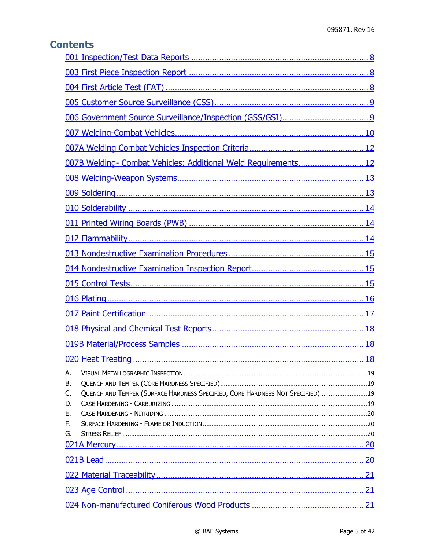# **Contents**

| 007B Welding- Combat Vehicles: Additional Weld Requirements 12                       |  |
|--------------------------------------------------------------------------------------|--|
|                                                                                      |  |
|                                                                                      |  |
|                                                                                      |  |
|                                                                                      |  |
|                                                                                      |  |
|                                                                                      |  |
|                                                                                      |  |
|                                                                                      |  |
|                                                                                      |  |
|                                                                                      |  |
|                                                                                      |  |
|                                                                                      |  |
|                                                                                      |  |
| А.                                                                                   |  |
| В.                                                                                   |  |
| QUENCH AND TEMPER (SURFACE HARDNESS SPECIFIED, CORE HARDNESS NOT SPECIFIED) 19<br>C. |  |
| D.                                                                                   |  |
| Е.                                                                                   |  |
| F.                                                                                   |  |
| G.                                                                                   |  |
|                                                                                      |  |
|                                                                                      |  |
|                                                                                      |  |
|                                                                                      |  |
|                                                                                      |  |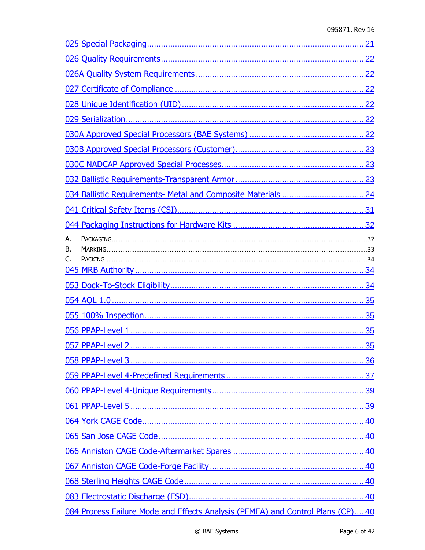| А.                                                                              |  |  |
|---------------------------------------------------------------------------------|--|--|
| В.<br>C.                                                                        |  |  |
|                                                                                 |  |  |
|                                                                                 |  |  |
|                                                                                 |  |  |
|                                                                                 |  |  |
|                                                                                 |  |  |
|                                                                                 |  |  |
|                                                                                 |  |  |
|                                                                                 |  |  |
|                                                                                 |  |  |
|                                                                                 |  |  |
|                                                                                 |  |  |
|                                                                                 |  |  |
|                                                                                 |  |  |
|                                                                                 |  |  |
|                                                                                 |  |  |
|                                                                                 |  |  |
| 084 Process Failure Mode and Effects Analysis (PFMEA) and Control Plans (CP) 40 |  |  |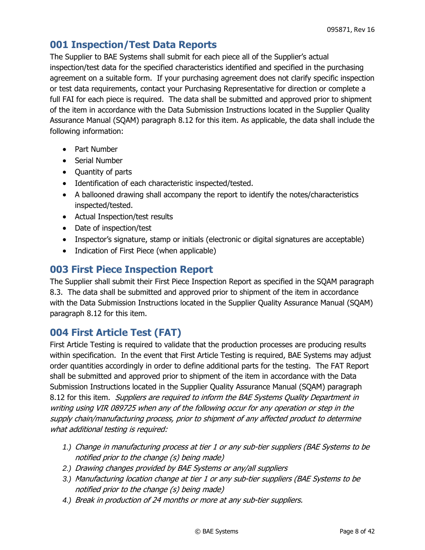# <span id="page-7-0"></span>**001 Inspection/Test Data Reports**

The Supplier to BAE Systems shall submit for each piece all of the Supplier's actual inspection/test data for the specified characteristics identified and specified in the purchasing agreement on a suitable form. If your purchasing agreement does not clarify specific inspection or test data requirements, contact your Purchasing Representative for direction or complete a full FAI for each piece is required. The data shall be submitted and approved prior to shipment of the item in accordance with the Data Submission Instructions located in the Supplier Quality Assurance Manual (SQAM) paragraph 8.12 for this item. As applicable, the data shall include the following information:

- Part Number
- Serial Number
- Quantity of parts
- Identification of each characteristic inspected/tested.
- A ballooned drawing shall accompany the report to identify the notes/characteristics inspected/tested.
- Actual Inspection/test results
- Date of inspection/test
- Inspector's signature, stamp or initials (electronic or digital signatures are acceptable)
- Indication of First Piece (when applicable)

# <span id="page-7-1"></span>**003 First Piece Inspection Report**

The Supplier shall submit their First Piece Inspection Report as specified in the SQAM paragraph 8.3. The data shall be submitted and approved prior to shipment of the item in accordance with the Data Submission Instructions located in the Supplier Quality Assurance Manual (SQAM) paragraph 8.12 for this item.

# <span id="page-7-2"></span>**004 First Article Test (FAT)**

First Article Testing is required to validate that the production processes are producing results within specification. In the event that First Article Testing is required, BAE Systems may adjust order quantities accordingly in order to define additional parts for the testing. The FAT Report shall be submitted and approved prior to shipment of the item in accordance with the Data Submission Instructions located in the Supplier Quality Assurance Manual (SQAM) paragraph 8.12 for this item. Suppliers are required to inform the BAE Systems Quality Department in writing using VIR 089725 when any of the following occur for any operation or step in the supply chain/manufacturing process, prior to shipment of any affected product to determine what additional testing is required:

- *1.)* Change in manufacturing process at tier 1 or any sub-tier suppliers (BAE Systems to be notified prior to the change (s) being made)
- *2.)* Drawing changes provided by BAE Systems or any/all suppliers
- *3.)* Manufacturing location change at tier 1 or any sub-tier suppliers (BAE Systems to be notified prior to the change (s) being made)
- *4.)* Break in production of 24 months or more at any sub-tier suppliers.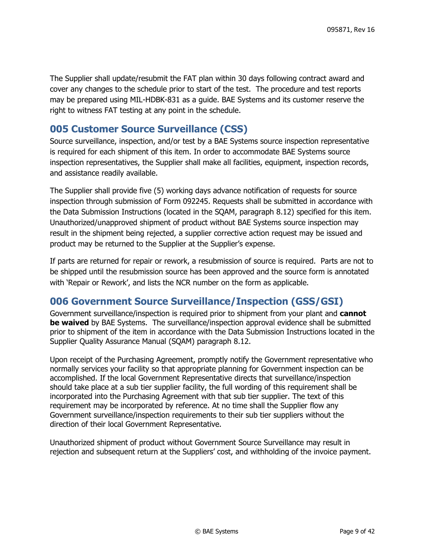The Supplier shall update/resubmit the FAT plan within 30 days following contract award and cover any changes to the schedule prior to start of the test. The procedure and test reports may be prepared using MIL-HDBK-831 as a guide. BAE Systems and its customer reserve the right to witness FAT testing at any point in the schedule.

### <span id="page-8-0"></span>**005 Customer Source Surveillance (CSS)**

Source surveillance, inspection, and/or test by a BAE Systems source inspection representative is required for each shipment of this item. In order to accommodate BAE Systems source inspection representatives, the Supplier shall make all facilities, equipment, inspection records, and assistance readily available.

The Supplier shall provide five (5) working days advance notification of requests for source inspection through submission of Form 092245. Requests shall be submitted in accordance with the Data Submission Instructions (located in the SQAM, paragraph 8.12) specified for this item. Unauthorized/unapproved shipment of product without BAE Systems source inspection may result in the shipment being rejected, a supplier corrective action request may be issued and product may be returned to the Supplier at the Supplier's expense.

If parts are returned for repair or rework, a resubmission of source is required. Parts are not to be shipped until the resubmission source has been approved and the source form is annotated with 'Repair or Rework', and lists the NCR number on the form as applicable.

# <span id="page-8-1"></span>**006 Government Source Surveillance/Inspection (GSS/GSI)**

Government surveillance/inspection is required prior to shipment from your plant and **cannot be waived** by BAE Systems. The surveillance/inspection approval evidence shall be submitted prior to shipment of the item in accordance with the Data Submission Instructions located in the Supplier Quality Assurance Manual (SQAM) paragraph 8.12.

Upon receipt of the Purchasing Agreement, promptly notify the Government representative who normally services your facility so that appropriate planning for Government inspection can be accomplished. If the local Government Representative directs that surveillance/inspection should take place at a sub tier supplier facility, the full wording of this requirement shall be incorporated into the Purchasing Agreement with that sub tier supplier. The text of this requirement may be incorporated by reference. At no time shall the Supplier flow any Government surveillance/inspection requirements to their sub tier suppliers without the direction of their local Government Representative.

Unauthorized shipment of product without Government Source Surveillance may result in rejection and subsequent return at the Suppliers' cost, and withholding of the invoice payment.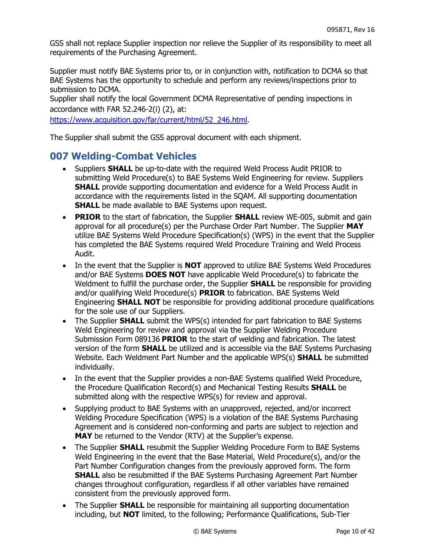GSS shall not replace Supplier inspection nor relieve the Supplier of its responsibility to meet all requirements of the Purchasing Agreement.

Supplier must notify BAE Systems prior to, or in conjunction with, notification to DCMA so that BAE Systems has the opportunity to schedule and perform any reviews/inspections prior to submission to DCMA.

Supplier shall notify the local Government DCMA Representative of pending inspections in accordance with FAR 52.246-2(i) (2), at:

[https://www.acquisition.gov/far/current/html/52\\_246.html.](https://www.acquisition.gov/far/current/html/52_246.html)

The Supplier shall submit the GSS approval document with each shipment.

### <span id="page-9-0"></span>**007 Welding-Combat Vehicles**

- Suppliers **SHALL** be up-to-date with the required Weld Process Audit PRIOR to submitting Weld Procedure(s) to BAE Systems Weld Engineering for review. Suppliers **SHALL** provide supporting documentation and evidence for a Weld Process Audit in accordance with the requirements listed in the SQAM. All supporting documentation **SHALL** be made available to BAE Systems upon request.
- **PRIOR** to the start of fabrication, the Supplier **SHALL** review WE-005, submit and gain approval for all procedure(s) per the Purchase Order Part Number. The Supplier **MAY** utilize BAE Systems Weld Procedure Specification(s) (WPS) in the event that the Supplier has completed the BAE Systems required Weld Procedure Training and Weld Process Audit.
- In the event that the Supplier is **NOT** approved to utilize BAE Systems Weld Procedures and/or BAE Systems **DOES NOT** have applicable Weld Procedure(s) to fabricate the Weldment to fulfill the purchase order, the Supplier **SHALL** be responsible for providing and/or qualifying Weld Procedure(s) **PRIOR** to fabrication. BAE Systems Weld Engineering **SHALL NOT** be responsible for providing additional procedure qualifications for the sole use of our Suppliers.
- The Supplier **SHALL** submit the WPS(s) intended for part fabrication to BAE Systems Weld Engineering for review and approval via the Supplier Welding Procedure Submission Form 089136 **PRIOR** to the start of welding and fabrication. The latest version of the form **SHALL** be utilized and is accessible via the BAE Systems Purchasing Website. Each Weldment Part Number and the applicable WPS(s) **SHALL** be submitted individually.
- In the event that the Supplier provides a non-BAE Systems qualified Weld Procedure, the Procedure Qualification Record(s) and Mechanical Testing Results **SHALL** be submitted along with the respective WPS(s) for review and approval.
- Supplying product to BAE Systems with an unapproved, rejected, and/or incorrect Welding Procedure Specification (WPS) is a violation of the BAE Systems Purchasing Agreement and is considered non-conforming and parts are subject to rejection and **MAY** be returned to the Vendor (RTV) at the Supplier's expense.
- The Supplier **SHALL** resubmit the Supplier Welding Procedure Form to BAE Systems Weld Engineering in the event that the Base Material, Weld Procedure(s), and/or the Part Number Configuration changes from the previously approved form. The form **SHALL** also be resubmitted if the BAE Systems Purchasing Agreement Part Number changes throughout configuration, regardless if all other variables have remained consistent from the previously approved form.
- The Supplier **SHALL** be responsible for maintaining all supporting documentation including, but **NOT** limited, to the following; Performance Qualifications, Sub-Tier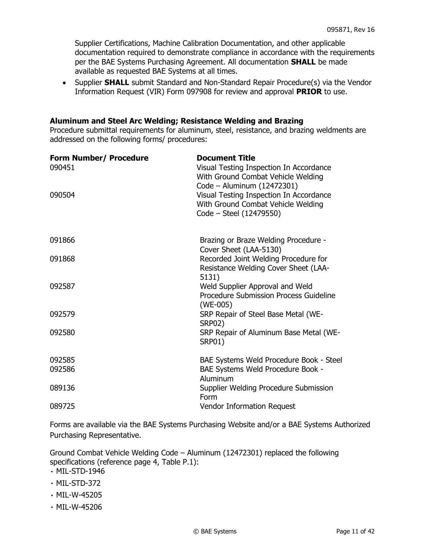Supplier Certifications, Machine Calibration Documentation, and other applicable documentation required to demonstrate compliance in accordance with the requirements per the BAE Systems Purchasing Agreement. All documentation **SHALL** be made available as requested BAE Systems at all times.

• Supplier **SHALL** submit Standard and Non-Standard Repair Procedure(s) via the Vendor Information Request (VIR) Form 097908 for review and approval **PRIOR** to use.

#### **Aluminum and Steel Arc Welding; Resistance Welding and Brazing**

Procedure submittal requirements for aluminum, steel, resistance, and brazing weldments are addressed on the following forms/ procedures:

| <b>Form Number/ Procedure</b><br>090451 | <b>Document Title</b><br>Visual Testing Inspection In Accordance<br>With Ground Combat Vehicle Welding<br>Code - Aluminum (12472301) |
|-----------------------------------------|--------------------------------------------------------------------------------------------------------------------------------------|
| 090504                                  | Visual Testing Inspection In Accordance<br>With Ground Combat Vehicle Welding<br>$Code - Steel (12479550)$                           |
| 091866                                  | Brazing or Braze Welding Procedure -<br>Cover Sheet (LAA-5130)                                                                       |
| 091868                                  | Recorded Joint Welding Procedure for<br>Resistance Welding Cover Sheet (LAA-<br>5131)                                                |
| 092587                                  | Weld Supplier Approval and Weld<br><b>Procedure Submission Process Guideline</b><br>$(WE-005)$                                       |
| 092579                                  | SRP Repair of Steel Base Metal (WE-<br><b>SRP02)</b>                                                                                 |
| 092580                                  | SRP Repair of Aluminum Base Metal (WE-<br><b>SRP01)</b>                                                                              |
| 092585                                  | BAE Systems Weld Procedure Book - Steel                                                                                              |
| 092586                                  | BAE Systems Weld Procedure Book -<br>Aluminum                                                                                        |
| 089136                                  | Supplier Welding Procedure Submission<br>Form                                                                                        |
| 089725                                  | <b>Vendor Information Request</b>                                                                                                    |

Forms are available via the BAE Systems Purchasing Website and/or a BAE Systems Authorized Purchasing Representative.

Ground Combat Vehicle Welding Code – Aluminum (12472301) replaced the following specifications (reference page 4, Table P.1):

- MIL-STD-1946
- MIL-STD-372
- MIL-W-45205
- MIL-W-45206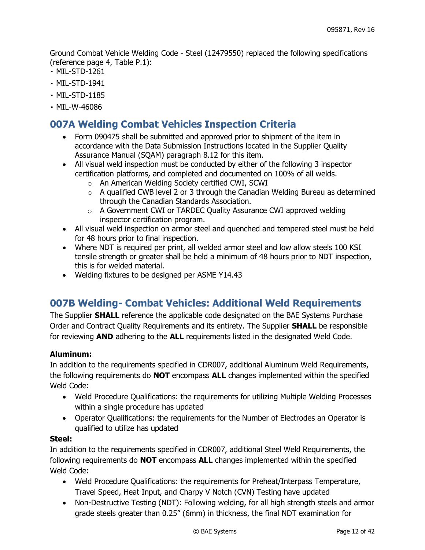Ground Combat Vehicle Welding Code - Steel (12479550) replaced the following specifications (reference page 4, Table P.1):

- MIL-STD-1261
- MIL-STD-1941
- MIL-STD-1185
- MIL-W-46086

# <span id="page-11-0"></span>**007A Welding Combat Vehicles Inspection Criteria**

- Form 090475 shall be submitted and approved prior to shipment of the item in accordance with the Data Submission Instructions located in the Supplier Quality Assurance Manual (SQAM) paragraph 8.12 for this item.
- All visual weld inspection must be conducted by either of the following 3 inspector certification platforms, and completed and documented on 100% of all welds.
	- o An American Welding Society certified CWI, SCWI
	- $\circ$  A qualified CWB level 2 or 3 through the Canadian Welding Bureau as determined through the Canadian Standards Association.
	- o A Government CWI or TARDEC Quality Assurance CWI approved welding inspector certification program.
- All visual weld inspection on armor steel and quenched and tempered steel must be held for 48 hours prior to final inspection.
- Where NDT is required per print, all welded armor steel and low allow steels 100 KSI tensile strength or greater shall be held a minimum of 48 hours prior to NDT inspection, this is for welded material.
- Welding fixtures to be designed per ASME Y14.43

# <span id="page-11-1"></span>**007B Welding- Combat Vehicles: Additional Weld Requirements**

The Supplier **SHALL** reference the applicable code designated on the BAE Systems Purchase Order and Contract Quality Requirements and its entirety. The Supplier **SHALL** be responsible for reviewing **AND** adhering to the **ALL** requirements listed in the designated Weld Code.

#### **Aluminum:**

In addition to the requirements specified in CDR007, additional Aluminum Weld Requirements, the following requirements do **NOT** encompass **ALL** changes implemented within the specified Weld Code:

- Weld Procedure Qualifications: the requirements for utilizing Multiple Welding Processes within a single procedure has updated
- Operator Qualifications: the requirements for the Number of Electrodes an Operator is qualified to utilize has updated

#### **Steel:**

In addition to the requirements specified in CDR007, additional Steel Weld Requirements, the following requirements do **NOT** encompass **ALL** changes implemented within the specified Weld Code:

- Weld Procedure Qualifications: the requirements for Preheat/Interpass Temperature, Travel Speed, Heat Input, and Charpy V Notch (CVN) Testing have updated
- Non-Destructive Testing (NDT): Following welding, for all high strength steels and armor grade steels greater than 0.25" (6mm) in thickness, the final NDT examination for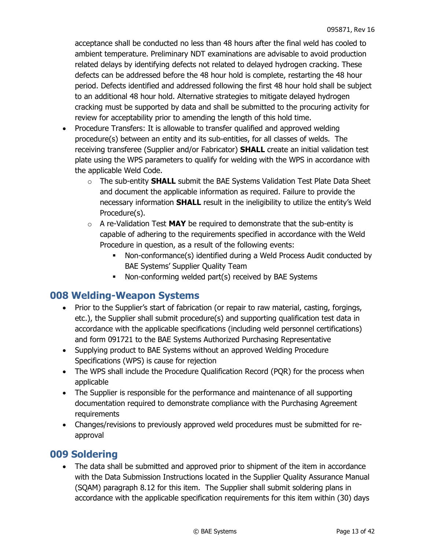acceptance shall be conducted no less than 48 hours after the final weld has cooled to ambient temperature. Preliminary NDT examinations are advisable to avoid production related delays by identifying defects not related to delayed hydrogen cracking. These defects can be addressed before the 48 hour hold is complete, restarting the 48 hour period. Defects identified and addressed following the first 48 hour hold shall be subject to an additional 48 hour hold. Alternative strategies to mitigate delayed hydrogen cracking must be supported by data and shall be submitted to the procuring activity for review for acceptability prior to amending the length of this hold time.

- Procedure Transfers: It is allowable to transfer qualified and approved welding procedure(s) between an entity and its sub-entities, for all classes of welds. The receiving transferee (Supplier and/or Fabricator) **SHALL** create an initial validation test plate using the WPS parameters to qualify for welding with the WPS in accordance with the applicable Weld Code.
	- o The sub-entity **SHALL** submit the BAE Systems Validation Test Plate Data Sheet and document the applicable information as required. Failure to provide the necessary information **SHALL** result in the ineligibility to utilize the entity's Weld Procedure(s).
	- $\circ$  A re-Validation Test **MAY** be required to demonstrate that the sub-entity is capable of adhering to the requirements specified in accordance with the Weld Procedure in question, as a result of the following events:
		- Non-conformance(s) identified during a Weld Process Audit conducted by BAE Systems' Supplier Quality Team
		- Non-conforming welded part(s) received by BAE Systems

# <span id="page-12-0"></span>**008 Welding-Weapon Systems**

- Prior to the Supplier's start of fabrication (or repair to raw material, casting, forgings, etc.), the Supplier shall submit procedure(s) and supporting qualification test data in accordance with the applicable specifications (including weld personnel certifications) and form 091721 to the BAE Systems Authorized Purchasing Representative
- Supplying product to BAE Systems without an approved Welding Procedure Specifications (WPS) is cause for rejection
- The WPS shall include the Procedure Qualification Record (PQR) for the process when applicable
- The Supplier is responsible for the performance and maintenance of all supporting documentation required to demonstrate compliance with the Purchasing Agreement requirements
- Changes/revisions to previously approved weld procedures must be submitted for reapproval

# <span id="page-12-1"></span>**009 Soldering**

• The data shall be submitted and approved prior to shipment of the item in accordance with the Data Submission Instructions located in the Supplier Quality Assurance Manual (SQAM) paragraph 8.12 for this item. The Supplier shall submit soldering plans in accordance with the applicable specification requirements for this item within (30) days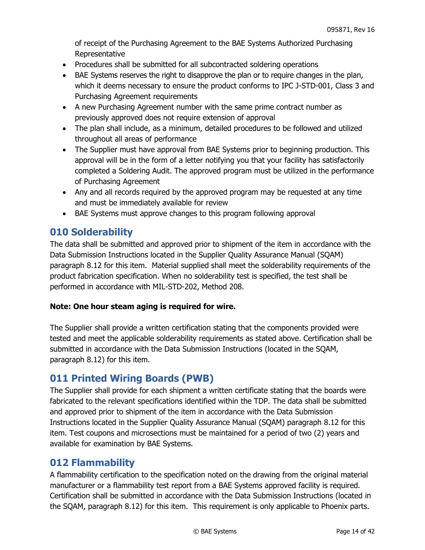of receipt of the Purchasing Agreement to the BAE Systems Authorized Purchasing Representative

- Procedures shall be submitted for all subcontracted soldering operations
- BAE Systems reserves the right to disapprove the plan or to require changes in the plan, which it deems necessary to ensure the product conforms to IPC J-STD-001, Class 3 and Purchasing Agreement requirements
- A new Purchasing Agreement number with the same prime contract number as previously approved does not require extension of approval
- The plan shall include, as a minimum, detailed procedures to be followed and utilized throughout all areas of performance
- The Supplier must have approval from BAE Systems prior to beginning production. This approval will be in the form of a letter notifying you that your facility has satisfactorily completed a Soldering Audit. The approved program must be utilized in the performance of Purchasing Agreement
- Any and all records required by the approved program may be requested at any time and must be immediately available for review
- BAE Systems must approve changes to this program following approval

# <span id="page-13-0"></span>**010 Solderability**

The data shall be submitted and approved prior to shipment of the item in accordance with the Data Submission Instructions located in the Supplier Quality Assurance Manual (SQAM) paragraph 8.12 for this item. Material supplied shall meet the solderability requirements of the product fabrication specification. When no solderability test is specified, the test shall be performed in accordance with MIL-STD-202, Method 208.

#### **Note: One hour steam aging is required for wire.**

The Supplier shall provide a written certification stating that the components provided were tested and meet the applicable solderability requirements as stated above. Certification shall be submitted in accordance with the Data Submission Instructions (located in the SQAM, paragraph 8.12) for this item.

# <span id="page-13-1"></span>**011 Printed Wiring Boards (PWB)**

The Supplier shall provide for each shipment a written certificate stating that the boards were fabricated to the relevant specifications identified within the TDP. The data shall be submitted and approved prior to shipment of the item in accordance with the Data Submission Instructions located in the Supplier Quality Assurance Manual (SQAM) paragraph 8.12 for this item. Test coupons and microsections must be maintained for a period of two (2) years and available for examination by BAE Systems.

# <span id="page-13-2"></span>**012 Flammability**

A flammability certification to the specification noted on the drawing from the original material manufacturer or a flammability test report from a BAE Systems approved facility is required. Certification shall be submitted in accordance with the Data Submission Instructions (located in the SQAM, paragraph 8.12) for this item. This requirement is only applicable to Phoenix parts.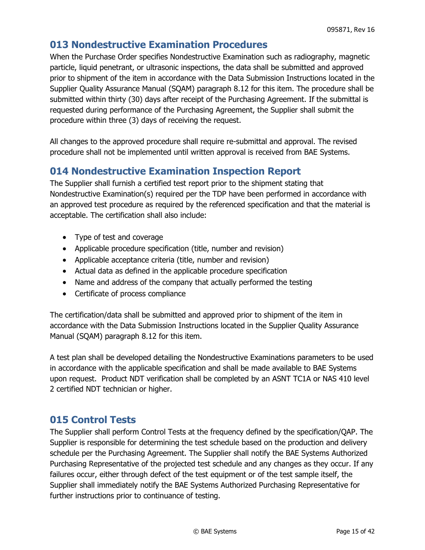# <span id="page-14-0"></span>**013 Nondestructive Examination Procedures**

When the Purchase Order specifies Nondestructive Examination such as radiography, magnetic particle, liquid penetrant, or ultrasonic inspections, the data shall be submitted and approved prior to shipment of the item in accordance with the Data Submission Instructions located in the Supplier Quality Assurance Manual (SQAM) paragraph 8.12 for this item. The procedure shall be submitted within thirty (30) days after receipt of the Purchasing Agreement. If the submittal is requested during performance of the Purchasing Agreement, the Supplier shall submit the procedure within three (3) days of receiving the request.

All changes to the approved procedure shall require re-submittal and approval. The revised procedure shall not be implemented until written approval is received from BAE Systems.

# <span id="page-14-1"></span>**014 Nondestructive Examination Inspection Report**

The Supplier shall furnish a certified test report prior to the shipment stating that Nondestructive Examination(s) required per the TDP have been performed in accordance with an approved test procedure as required by the referenced specification and that the material is acceptable. The certification shall also include:

- Type of test and coverage
- Applicable procedure specification (title, number and revision)
- Applicable acceptance criteria (title, number and revision)
- Actual data as defined in the applicable procedure specification
- Name and address of the company that actually performed the testing
- Certificate of process compliance

The certification/data shall be submitted and approved prior to shipment of the item in accordance with the Data Submission Instructions located in the Supplier Quality Assurance Manual (SQAM) paragraph 8.12 for this item.

A test plan shall be developed detailing the Nondestructive Examinations parameters to be used in accordance with the applicable specification and shall be made available to BAE Systems upon request. Product NDT verification shall be completed by an ASNT TC1A or NAS 410 level 2 certified NDT technician or higher.

# <span id="page-14-2"></span>**015 Control Tests**

The Supplier shall perform Control Tests at the frequency defined by the specification/QAP. The Supplier is responsible for determining the test schedule based on the production and delivery schedule per the Purchasing Agreement. The Supplier shall notify the BAE Systems Authorized Purchasing Representative of the projected test schedule and any changes as they occur. If any failures occur, either through defect of the test equipment or of the test sample itself, the Supplier shall immediately notify the BAE Systems Authorized Purchasing Representative for further instructions prior to continuance of testing.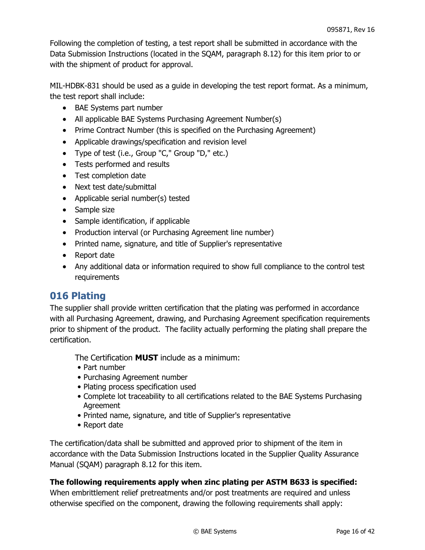Following the completion of testing, a test report shall be submitted in accordance with the Data Submission Instructions (located in the SQAM, paragraph 8.12) for this item prior to or with the shipment of product for approval.

MIL-HDBK-831 should be used as a guide in developing the test report format. As a minimum, the test report shall include:

- BAE Systems part number
- All applicable BAE Systems Purchasing Agreement Number(s)
- Prime Contract Number (this is specified on the Purchasing Agreement)
- Applicable drawings/specification and revision level
- Type of test (i.e., Group "C," Group "D," etc.)
- Tests performed and results
- Test completion date
- Next test date/submittal
- Applicable serial number(s) tested
- Sample size
- Sample identification, if applicable
- Production interval (or Purchasing Agreement line number)
- Printed name, signature, and title of Supplier's representative
- Report date
- Any additional data or information required to show full compliance to the control test requirements

# <span id="page-15-0"></span>**016 Plating**

The supplier shall provide written certification that the plating was performed in accordance with all Purchasing Agreement, drawing, and Purchasing Agreement specification requirements prior to shipment of the product. The facility actually performing the plating shall prepare the certification.

The Certification **MUST** include as a minimum:

- Part number
- Purchasing Agreement number
- Plating process specification used
- Complete lot traceability to all certifications related to the BAE Systems Purchasing Agreement
- Printed name, signature, and title of Supplier's representative
- Report date

The certification/data shall be submitted and approved prior to shipment of the item in accordance with the Data Submission Instructions located in the Supplier Quality Assurance Manual (SQAM) paragraph 8.12 for this item.

#### **The following requirements apply when zinc plating per ASTM B633 is specified:**

When embrittlement relief pretreatments and/or post treatments are required and unless otherwise specified on the component, drawing the following requirements shall apply: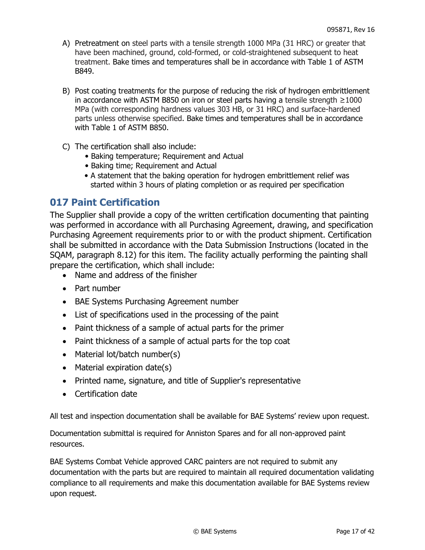- A) Pretreatment on steel parts with a tensile strength 1000 MPa (31 HRC) or greater that have been machined, ground, cold-formed, or cold-straightened subsequent to heat treatment. Bake times and temperatures shall be in accordance with Table 1 of ASTM B849.
- B) Post coating treatments for the purpose of reducing the risk of hydrogen embrittlement in accordance with ASTM B850 on iron or steel parts having a tensile strength ≥1000 MPa (with corresponding hardness values 303 HB, or 31 HRC) and surface-hardened parts unless otherwise specified. Bake times and temperatures shall be in accordance with Table 1 of ASTM B850.
- C) The certification shall also include:
	- Baking temperature; Requirement and Actual
	- Baking time; Requirement and Actual
	- A statement that the baking operation for hydrogen embrittlement relief was started within 3 hours of plating completion or as required per specification

#### <span id="page-16-0"></span>**017 Paint Certification**

The Supplier shall provide a copy of the written certification documenting that painting was performed in accordance with all Purchasing Agreement, drawing, and specification Purchasing Agreement requirements prior to or with the product shipment. Certification shall be submitted in accordance with the Data Submission Instructions (located in the SQAM, paragraph 8.12) for this item. The facility actually performing the painting shall prepare the certification, which shall include:

- Name and address of the finisher
- Part number
- BAE Systems Purchasing Agreement number
- List of specifications used in the processing of the paint
- Paint thickness of a sample of actual parts for the primer
- Paint thickness of a sample of actual parts for the top coat
- Material lot/batch number(s)
- Material expiration date(s)
- Printed name, signature, and title of Supplier's representative
- Certification date

All test and inspection documentation shall be available for BAE Systems' review upon request.

Documentation submittal is required for Anniston Spares and for all non-approved paint resources.

BAE Systems Combat Vehicle approved CARC painters are not required to submit any documentation with the parts but are required to maintain all required documentation validating compliance to all requirements and make this documentation available for BAE Systems review upon request.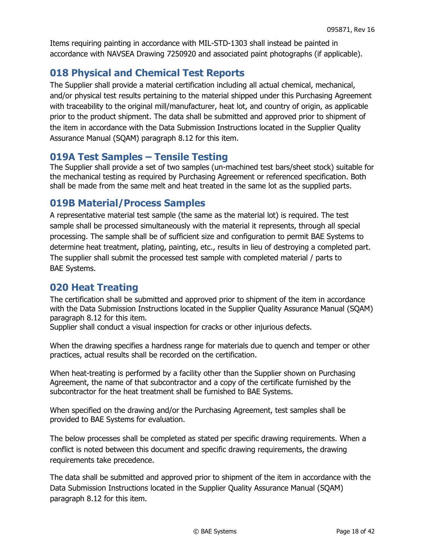Items requiring painting in accordance with MIL-STD-1303 shall instead be painted in accordance with NAVSEA Drawing 7250920 and associated paint photographs (if applicable).

# <span id="page-17-0"></span>**018 Physical and Chemical Test Reports**

The Supplier shall provide a material certification including all actual chemical, mechanical, and/or physical test results pertaining to the material shipped under this Purchasing Agreement with traceability to the original mill/manufacturer, heat lot, and country of origin, as applicable prior to the product shipment. The data shall be submitted and approved prior to shipment of the item in accordance with the Data Submission Instructions located in the Supplier Quality Assurance Manual (SQAM) paragraph 8.12 for this item.

# **019A Test Samples – Tensile Testing**

The Supplier shall provide a set of two samples (un-machined test bars/sheet stock) suitable for the mechanical testing as required by Purchasing Agreement or referenced specification. Both shall be made from the same melt and heat treated in the same lot as the supplied parts.

# <span id="page-17-1"></span>**019B Material/Process Samples**

A representative material test sample (the same as the material lot) is required. The test sample shall be processed simultaneously with the material it represents, through all special processing. The sample shall be of sufficient size and configuration to permit BAE Systems to determine heat treatment, plating, painting, etc., results in lieu of destroying a completed part. The supplier shall submit the processed test sample with completed material / parts to BAE Systems.

# <span id="page-17-2"></span>**020 Heat Treating**

The certification shall be submitted and approved prior to shipment of the item in accordance with the Data Submission Instructions located in the Supplier Quality Assurance Manual (SQAM) paragraph 8.12 for this item.

Supplier shall conduct a visual inspection for cracks or other injurious defects.

When the drawing specifies a hardness range for materials due to quench and temper or other practices, actual results shall be recorded on the certification.

When heat-treating is performed by a facility other than the Supplier shown on Purchasing Agreement, the name of that subcontractor and a copy of the certificate furnished by the subcontractor for the heat treatment shall be furnished to BAE Systems.

When specified on the drawing and/or the Purchasing Agreement, test samples shall be provided to BAE Systems for evaluation.

The below processes shall be completed as stated per specific drawing requirements. When a conflict is noted between this document and specific drawing requirements, the drawing requirements take precedence.

The data shall be submitted and approved prior to shipment of the item in accordance with the Data Submission Instructions located in the Supplier Quality Assurance Manual (SQAM) paragraph 8.12 for this item.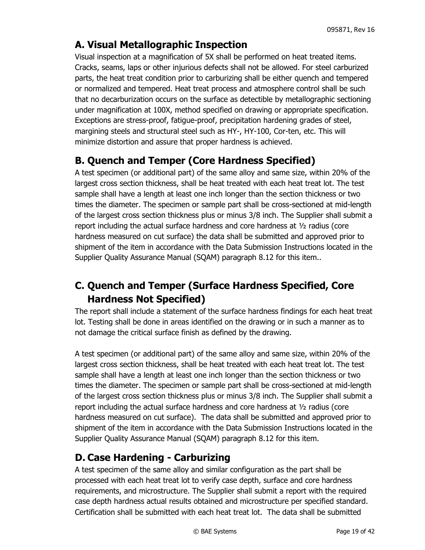# <span id="page-18-0"></span>**A. Visual Metallographic Inspection**

Visual inspection at a magnification of 5X shall be performed on heat treated items. Cracks, seams, laps or other injurious defects shall not be allowed. For steel carburized parts, the heat treat condition prior to carburizing shall be either quench and tempered or normalized and tempered. Heat treat process and atmosphere control shall be such that no decarburization occurs on the surface as detectible by metallographic sectioning under magnification at 100X, method specified on drawing or appropriate specification. Exceptions are stress-proof, fatigue-proof, precipitation hardening grades of steel, margining steels and structural steel such as HY-, HY-100, Cor-ten, etc. This will minimize distortion and assure that proper hardness is achieved.

# <span id="page-18-1"></span>**B. Quench and Temper (Core Hardness Specified)**

A test specimen (or additional part) of the same alloy and same size, within 20% of the largest cross section thickness, shall be heat treated with each heat treat lot. The test sample shall have a length at least one inch longer than the section thickness or two times the diameter. The specimen or sample part shall be cross-sectioned at mid-length of the largest cross section thickness plus or minus 3/8 inch. The Supplier shall submit a report including the actual surface hardness and core hardness at ½ radius (core hardness measured on cut surface) the data shall be submitted and approved prior to shipment of the item in accordance with the Data Submission Instructions located in the Supplier Quality Assurance Manual (SQAM) paragraph 8.12 for this item..

# <span id="page-18-2"></span>**C. Quench and Temper (Surface Hardness Specified, Core Hardness Not Specified)**

The report shall include a statement of the surface hardness findings for each heat treat lot. Testing shall be done in areas identified on the drawing or in such a manner as to not damage the critical surface finish as defined by the drawing.

A test specimen (or additional part) of the same alloy and same size, within 20% of the largest cross section thickness, shall be heat treated with each heat treat lot. The test sample shall have a length at least one inch longer than the section thickness or two times the diameter. The specimen or sample part shall be cross-sectioned at mid-length of the largest cross section thickness plus or minus 3/8 inch. The Supplier shall submit a report including the actual surface hardness and core hardness at  $\frac{1}{2}$  radius (core hardness measured on cut surface). The data shall be submitted and approved prior to shipment of the item in accordance with the Data Submission Instructions located in the Supplier Quality Assurance Manual (SQAM) paragraph 8.12 for this item.

# <span id="page-18-3"></span>**D. Case Hardening - Carburizing**

A test specimen of the same alloy and similar configuration as the part shall be processed with each heat treat lot to verify case depth, surface and core hardness requirements, and microstructure. The Supplier shall submit a report with the required case depth hardness actual results obtained and microstructure per specified standard. Certification shall be submitted with each heat treat lot. The data shall be submitted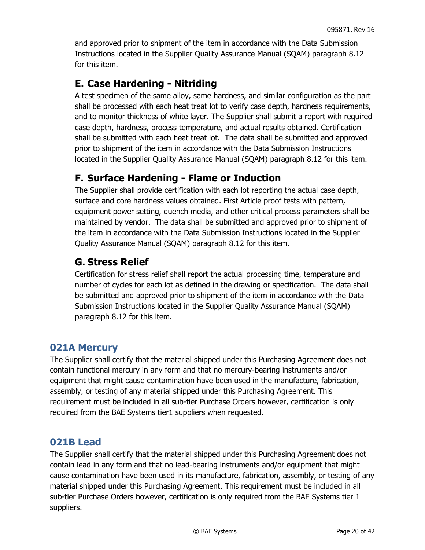and approved prior to shipment of the item in accordance with the Data Submission Instructions located in the Supplier Quality Assurance Manual (SQAM) paragraph 8.12 for this item.

# <span id="page-19-0"></span>**E. Case Hardening - Nitriding**

A test specimen of the same alloy, same hardness, and similar configuration as the part shall be processed with each heat treat lot to verify case depth, hardness requirements, and to monitor thickness of white layer. The Supplier shall submit a report with required case depth, hardness, process temperature, and actual results obtained. Certification shall be submitted with each heat treat lot. The data shall be submitted and approved prior to shipment of the item in accordance with the Data Submission Instructions located in the Supplier Quality Assurance Manual (SQAM) paragraph 8.12 for this item.

# <span id="page-19-1"></span>**F. Surface Hardening - Flame or Induction**

The Supplier shall provide certification with each lot reporting the actual case depth, surface and core hardness values obtained. First Article proof tests with pattern, equipment power setting, quench media, and other critical process parameters shall be maintained by vendor. The data shall be submitted and approved prior to shipment of the item in accordance with the Data Submission Instructions located in the Supplier Quality Assurance Manual (SQAM) paragraph 8.12 for this item.

# <span id="page-19-2"></span>**G. Stress Relief**

Certification for stress relief shall report the actual processing time, temperature and number of cycles for each lot as defined in the drawing or specification. The data shall be submitted and approved prior to shipment of the item in accordance with the Data Submission Instructions located in the Supplier Quality Assurance Manual (SQAM) paragraph 8.12 for this item.

# <span id="page-19-3"></span>**021A Mercury**

The Supplier shall certify that the material shipped under this Purchasing Agreement does not contain functional mercury in any form and that no mercury-bearing instruments and/or equipment that might cause contamination have been used in the manufacture, fabrication, assembly, or testing of any material shipped under this Purchasing Agreement. This requirement must be included in all sub-tier Purchase Orders however, certification is only required from the BAE Systems tier1 suppliers when requested.

# <span id="page-19-4"></span>**021B Lead**

The Supplier shall certify that the material shipped under this Purchasing Agreement does not contain lead in any form and that no lead-bearing instruments and/or equipment that might cause contamination have been used in its manufacture, fabrication, assembly, or testing of any material shipped under this Purchasing Agreement. This requirement must be included in all sub-tier Purchase Orders however, certification is only required from the BAE Systems tier 1 suppliers.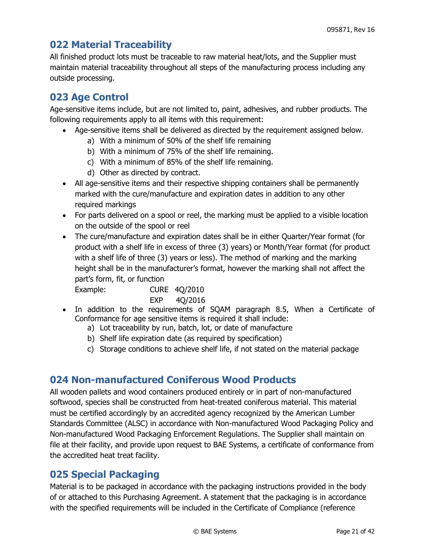# <span id="page-20-0"></span>**022 Material Traceability**

All finished product lots must be traceable to raw material heat/lots, and the Supplier must maintain material traceability throughout all steps of the manufacturing process including any outside processing.

# <span id="page-20-1"></span>**023 Age Control**

Age-sensitive items include, but are not limited to, paint, adhesives, and rubber products. The following requirements apply to all items with this requirement:

- Age-sensitive items shall be delivered as directed by the requirement assigned below.
	- a) With a minimum of 50% of the shelf life remaining
	- b) With a minimum of 75% of the shelf life remaining.
	- c) With a minimum of 85% of the shelf life remaining.
	- d) Other as directed by contract.
- All age-sensitive items and their respective shipping containers shall be permanently marked with the cure/manufacture and expiration dates in addition to any other required markings
- For parts delivered on a spool or reel, the marking must be applied to a visible location on the outside of the spool or reel
- The cure/manufacture and expiration dates shall be in either Quarter/Year format (for product with a shelf life in excess of three (3) years) or Month/Year format (for product with a shelf life of three (3) years or less). The method of marking and the marking height shall be in the manufacturer's format, however the marking shall not affect the part's form, fit, or function

Example: CURE 4Q/2010 EXP 4Q/2016

- In addition to the requirements of SQAM paragraph 8.5, When a Certificate of Conformance for age sensitive items is required it shall include:
	- a) Lot traceability by run, batch, lot, or date of manufacture
	- b) Shelf life expiration date (as required by specification)
	- c) Storage conditions to achieve shelf life, if not stated on the material package

# <span id="page-20-2"></span>**024 Non-manufactured Coniferous Wood Products**

All wooden pallets and wood containers produced entirely or in part of non-manufactured softwood, species shall be constructed from heat-treated coniferous material. This material must be certified accordingly by an accredited agency recognized by the American Lumber Standards Committee (ALSC) in accordance with Non-manufactured Wood Packaging Policy and Non-manufactured Wood Packaging Enforcement Regulations. The Supplier shall maintain on file at their facility, and provide upon request to BAE Systems, a certificate of conformance from the accredited heat treat facility.

# <span id="page-20-3"></span>**025 Special Packaging**

Material is to be packaged in accordance with the packaging instructions provided in the body of or attached to this Purchasing Agreement. A statement that the packaging is in accordance with the specified requirements will be included in the Certificate of Compliance (reference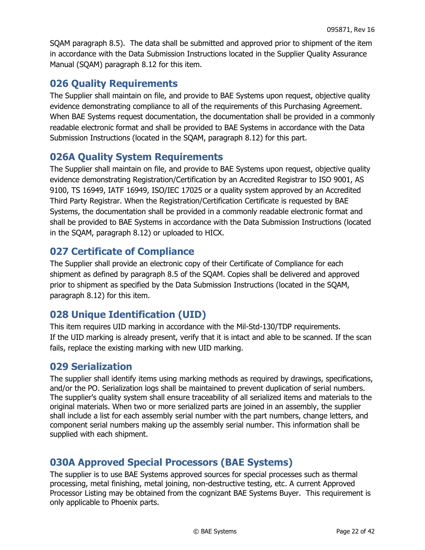SQAM paragraph 8.5). The data shall be submitted and approved prior to shipment of the item in accordance with the Data Submission Instructions located in the Supplier Quality Assurance Manual (SQAM) paragraph 8.12 for this item.

# <span id="page-21-0"></span>**026 Quality Requirements**

The Supplier shall maintain on file, and provide to BAE Systems upon request, objective quality evidence demonstrating compliance to all of the requirements of this Purchasing Agreement. When BAE Systems request documentation, the documentation shall be provided in a commonly readable electronic format and shall be provided to BAE Systems in accordance with the Data Submission Instructions (located in the SQAM, paragraph 8.12) for this part.

# <span id="page-21-1"></span>**026A Quality System Requirements**

The Supplier shall maintain on file, and provide to BAE Systems upon request, objective quality evidence demonstrating Registration/Certification by an Accredited Registrar to ISO 9001, AS 9100, TS 16949, IATF 16949, ISO/IEC 17025 or a quality system approved by an Accredited Third Party Registrar. When the Registration/Certification Certificate is requested by BAE Systems, the documentation shall be provided in a commonly readable electronic format and shall be provided to BAE Systems in accordance with the Data Submission Instructions (located in the SQAM, paragraph 8.12) or uploaded to HICX.

# <span id="page-21-2"></span>**027 Certificate of Compliance**

The Supplier shall provide an electronic copy of their Certificate of Compliance for each shipment as defined by paragraph 8.5 of the SQAM. Copies shall be delivered and approved prior to shipment as specified by the Data Submission Instructions (located in the SQAM, paragraph 8.12) for this item.

# <span id="page-21-3"></span>**028 Unique Identification (UID)**

This item requires UID marking in accordance with the Mil-Std-130/TDP requirements. If the UID marking is already present, verify that it is intact and able to be scanned. If the scan fails, replace the existing marking with new UID marking.

#### <span id="page-21-4"></span>**029 Serialization**

The supplier shall identify items using marking methods as required by drawings, specifications, and/or the PO. Serialization logs shall be maintained to prevent duplication of serial numbers. The supplier's quality system shall ensure traceability of all serialized items and materials to the original materials. When two or more serialized parts are joined in an assembly, the supplier shall include a list for each assembly serial number with the part numbers, change letters, and component serial numbers making up the assembly serial number. This information shall be supplied with each shipment.

# <span id="page-21-5"></span>**030A Approved Special Processors (BAE Systems)**

The supplier is to use BAE Systems approved sources for special processes such as thermal processing, metal finishing, metal joining, non-destructive testing, etc. A current Approved Processor Listing may be obtained from the cognizant BAE Systems Buyer. This requirement is only applicable to Phoenix parts.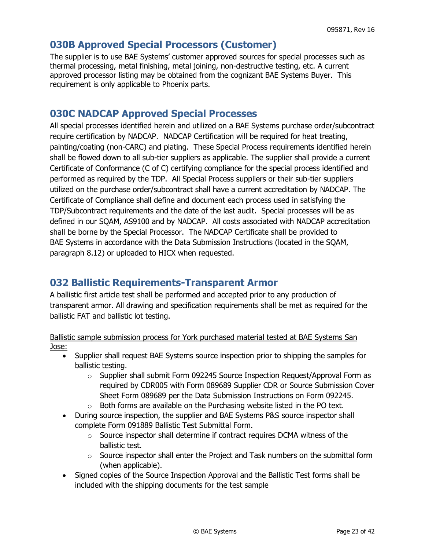### <span id="page-22-0"></span>**030B Approved Special Processors (Customer)**

The supplier is to use BAE Systems' customer approved sources for special processes such as thermal processing, metal finishing, metal joining, non-destructive testing, etc. A current approved processor listing may be obtained from the cognizant BAE Systems Buyer. This requirement is only applicable to Phoenix parts.

#### <span id="page-22-1"></span>**030C NADCAP Approved Special Processes**

All special processes identified herein and utilized on a BAE Systems purchase order/subcontract require certification by NADCAP. NADCAP Certification will be required for heat treating, painting/coating (non-CARC) and plating. These Special Process requirements identified herein shall be flowed down to all sub-tier suppliers as applicable. The supplier shall provide a current Certificate of Conformance (C of C) certifying compliance for the special process identified and performed as required by the TDP. All Special Process suppliers or their sub-tier suppliers utilized on the purchase order/subcontract shall have a current accreditation by NADCAP. The Certificate of Compliance shall define and document each process used in satisfying the TDP/Subcontract requirements and the date of the last audit. Special processes will be as defined in our SQAM, AS9100 and by NADCAP. All costs associated with NADCAP accreditation shall be borne by the Special Processor. The NADCAP Certificate shall be provided to BAE Systems in accordance with the Data Submission Instructions (located in the SQAM, paragraph 8.12) or uploaded to HICX when requested.

# <span id="page-22-2"></span>**032 Ballistic Requirements-Transparent Armor**

A ballistic first article test shall be performed and accepted prior to any production of transparent armor. All drawing and specification requirements shall be met as required for the ballistic FAT and ballistic lot testing.

#### Ballistic sample submission process for York purchased material tested at BAE Systems San Jose:

- Supplier shall request BAE Systems source inspection prior to shipping the samples for ballistic testing.
	- $\circ$  Supplier shall submit Form 092245 Source Inspection Request/Approval Form as required by CDR005 with Form 089689 Supplier CDR or Source Submission Cover Sheet Form 089689 per the Data Submission Instructions on Form 092245.
	- o Both forms are available on the Purchasing website listed in the PO text.
- During source inspection, the supplier and BAE Systems P&S source inspector shall complete Form 091889 Ballistic Test Submittal Form.
	- o Source inspector shall determine if contract requires DCMA witness of the ballistic test.
	- $\circ$  Source inspector shall enter the Project and Task numbers on the submittal form (when applicable).
- Signed copies of the Source Inspection Approval and the Ballistic Test forms shall be included with the shipping documents for the test sample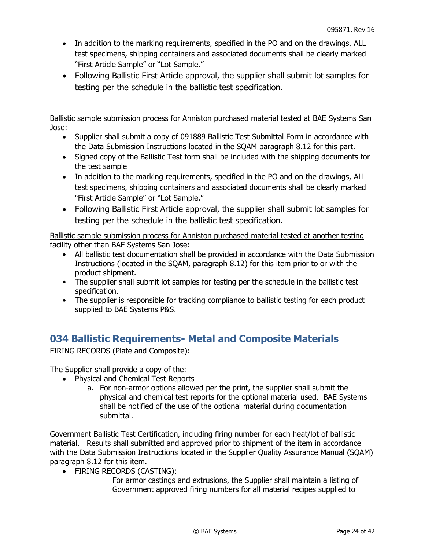- In addition to the marking requirements, specified in the PO and on the drawings, ALL test specimens, shipping containers and associated documents shall be clearly marked "First Article Sample" or "Lot Sample."
- Following Ballistic First Article approval, the supplier shall submit lot samples for testing per the schedule in the ballistic test specification.

Ballistic sample submission process for Anniston purchased material tested at BAE Systems San Jose:

- Supplier shall submit a copy of 091889 Ballistic Test Submittal Form in accordance with the Data Submission Instructions located in the SQAM paragraph 8.12 for this part.
- Signed copy of the Ballistic Test form shall be included with the shipping documents for the test sample
- In addition to the marking requirements, specified in the PO and on the drawings, ALL test specimens, shipping containers and associated documents shall be clearly marked "First Article Sample" or "Lot Sample."
- Following Ballistic First Article approval, the supplier shall submit lot samples for testing per the schedule in the ballistic test specification.

Ballistic sample submission process for Anniston purchased material tested at another testing facility other than BAE Systems San Jose:

- All ballistic test documentation shall be provided in accordance with the Data Submission Instructions (located in the SQAM, paragraph 8.12) for this item prior to or with the product shipment.
- The supplier shall submit lot samples for testing per the schedule in the ballistic test specification.
- The supplier is responsible for tracking compliance to ballistic testing for each product supplied to BAE Systems P&S.

# <span id="page-23-0"></span>**034 Ballistic Requirements- Metal and Composite Materials**

FIRING RECORDS (Plate and Composite):

The Supplier shall provide a copy of the:

- Physical and Chemical Test Reports
	- a. For non-armor options allowed per the print, the supplier shall submit the physical and chemical test reports for the optional material used. BAE Systems shall be notified of the use of the optional material during documentation submittal.

Government Ballistic Test Certification, including firing number for each heat/lot of ballistic material. Results shall submitted and approved prior to shipment of the item in accordance with the Data Submission Instructions located in the Supplier Quality Assurance Manual (SQAM) paragraph 8.12 for this item.

- FIRING RECORDS (CASTING):
	- For armor castings and extrusions, the Supplier shall maintain a listing of Government approved firing numbers for all material recipes supplied to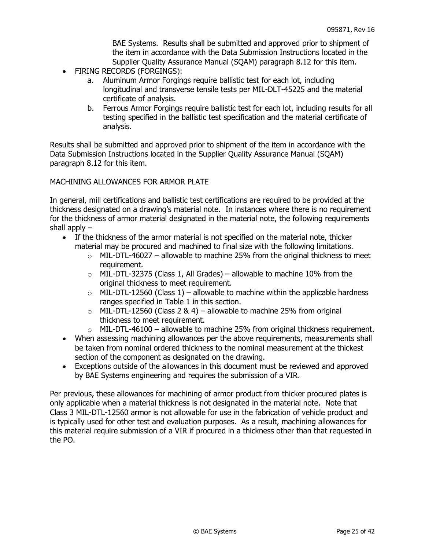BAE Systems. Results shall be submitted and approved prior to shipment of the item in accordance with the Data Submission Instructions located in the Supplier Quality Assurance Manual (SQAM) paragraph 8.12 for this item.

- FIRING RECORDS (FORGINGS):
	- a. Aluminum Armor Forgings require ballistic test for each lot, including longitudinal and transverse tensile tests per MIL-DLT-45225 and the material certificate of analysis.
	- b. Ferrous Armor Forgings require ballistic test for each lot, including results for all testing specified in the ballistic test specification and the material certificate of analysis.

Results shall be submitted and approved prior to shipment of the item in accordance with the Data Submission Instructions located in the Supplier Quality Assurance Manual (SQAM) paragraph 8.12 for this item.

MACHINING ALLOWANCES FOR ARMOR PLATE

In general, mill certifications and ballistic test certifications are required to be provided at the thickness designated on a drawing's material note. In instances where there is no requirement for the thickness of armor material designated in the material note, the following requirements shall apply  $-$ 

- If the thickness of the armor material is not specified on the material note, thicker material may be procured and machined to final size with the following limitations.
	- $\circ$  MIL-DTL-46027 allowable to machine 25% from the original thickness to meet requirement.
	- $\circ$  MIL-DTL-32375 (Class 1, All Grades) allowable to machine 10% from the original thickness to meet requirement.
	- $\circ$  MIL-DTL-12560 (Class 1) allowable to machine within the applicable hardness ranges specified in Table 1 in this section.
	- $\circ$  MIL-DTL-12560 (Class 2 & 4) allowable to machine 25% from original thickness to meet requirement.
	- $\circ$  MIL-DTL-46100 allowable to machine 25% from original thickness requirement.
- When assessing machining allowances per the above requirements, measurements shall be taken from nominal ordered thickness to the nominal measurement at the thickest section of the component as designated on the drawing.
- Exceptions outside of the allowances in this document must be reviewed and approved by BAE Systems engineering and requires the submission of a VIR.

Per previous, these allowances for machining of armor product from thicker procured plates is only applicable when a material thickness is not designated in the material note. Note that Class 3 MIL-DTL-12560 armor is not allowable for use in the fabrication of vehicle product and is typically used for other test and evaluation purposes. As a result, machining allowances for this material require submission of a VIR if procured in a thickness other than that requested in the PO.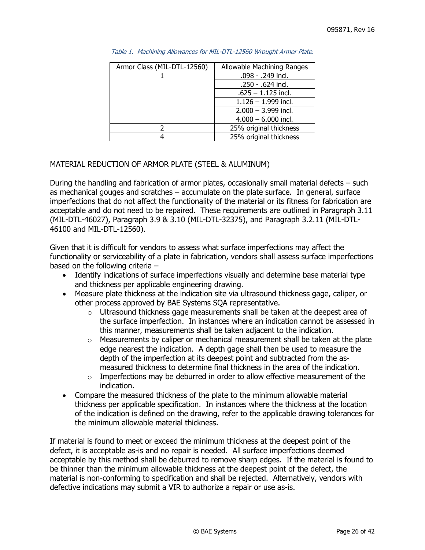| Armor Class (MIL-DTL-12560) | Allowable Machining Ranges |
|-----------------------------|----------------------------|
|                             | .098 - .249 incl.          |
|                             | .250 - .624 incl.          |
|                             | $.625 - 1.125$ incl.       |
|                             | $1.126 - 1.999$ incl.      |
|                             | $2.000 - 3.999$ incl.      |
|                             | $4.000 - 6.000$ incl.      |
|                             | 25% original thickness     |
|                             | 25% original thickness     |

| Table 1. Machining Allowances for MIL-DTL-12560 Wrought Armor Plate. |  |
|----------------------------------------------------------------------|--|
|                                                                      |  |

#### MATERIAL REDUCTION OF ARMOR PLATE (STEEL & ALUMINUM)

During the handling and fabrication of armor plates, occasionally small material defects – such as mechanical gouges and scratches – accumulate on the plate surface. In general, surface imperfections that do not affect the functionality of the material or its fitness for fabrication are acceptable and do not need to be repaired. These requirements are outlined in Paragraph 3.11 (MIL-DTL-46027), Paragraph 3.9 & 3.10 (MIL-DTL-32375), and Paragraph 3.2.11 (MIL-DTL-46100 and MIL-DTL-12560).

Given that it is difficult for vendors to assess what surface imperfections may affect the functionality or serviceability of a plate in fabrication, vendors shall assess surface imperfections based on the following criteria –

- Identify indications of surface imperfections visually and determine base material type and thickness per applicable engineering drawing.
- Measure plate thickness at the indication site via ultrasound thickness gage, caliper, or other process approved by BAE Systems SQA representative.
	- o Ultrasound thickness gage measurements shall be taken at the deepest area of the surface imperfection. In instances where an indication cannot be assessed in this manner, measurements shall be taken adjacent to the indication.
	- o Measurements by caliper or mechanical measurement shall be taken at the plate edge nearest the indication. A depth gage shall then be used to measure the depth of the imperfection at its deepest point and subtracted from the asmeasured thickness to determine final thickness in the area of the indication.
	- $\circ$  Imperfections may be deburred in order to allow effective measurement of the indication.
- Compare the measured thickness of the plate to the minimum allowable material thickness per applicable specification. In instances where the thickness at the location of the indication is defined on the drawing, refer to the applicable drawing tolerances for the minimum allowable material thickness.

If material is found to meet or exceed the minimum thickness at the deepest point of the defect, it is acceptable as-is and no repair is needed. All surface imperfections deemed acceptable by this method shall be deburred to remove sharp edges. If the material is found to be thinner than the minimum allowable thickness at the deepest point of the defect, the material is non-conforming to specification and shall be rejected. Alternatively, vendors with defective indications may submit a VIR to authorize a repair or use as-is.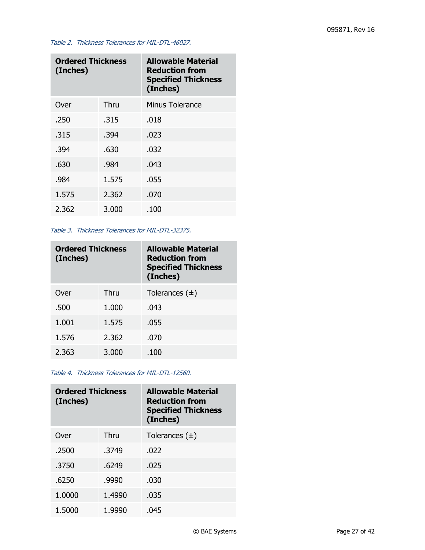#### Table 2. Thickness Tolerances for MIL-DTL-46027.

| <b>Ordered Thickness</b><br>(Inches) |       | <b>Allowable Material</b><br><b>Reduction from</b><br><b>Specified Thickness</b><br>(Inches) |
|--------------------------------------|-------|----------------------------------------------------------------------------------------------|
| Over                                 | Thru  | <b>Minus Tolerance</b>                                                                       |
| .250                                 | .315  | .018                                                                                         |
| .315                                 | .394  | .023                                                                                         |
| .394                                 | .630  | .032                                                                                         |
| .630                                 | .984  | .043                                                                                         |
| .984                                 | 1.575 | .055                                                                                         |
| 1.575                                | 2.362 | .070                                                                                         |
| 2.362                                | 3.000 | .100                                                                                         |

#### Table 3. Thickness Tolerances for MIL-DTL-32375.

| <b>Ordered Thickness</b><br>(Inches) |       | <b>Allowable Material</b><br><b>Reduction from</b><br><b>Specified Thickness</b><br>(Inches) |
|--------------------------------------|-------|----------------------------------------------------------------------------------------------|
| Over                                 | Thru  | Tolerances $(\pm)$                                                                           |
| .500                                 | 1.000 | .043                                                                                         |
| 1.001                                | 1.575 | .055                                                                                         |
| 1.576                                | 2.362 | .070                                                                                         |
| 2.363                                | 3.000 | .100                                                                                         |

#### Table 4. Thickness Tolerances for MIL-DTL-12560.

| <b>Ordered Thickness</b><br>(Inches) |        | <b>Allowable Material</b><br><b>Reduction from</b><br><b>Specified Thickness</b><br>(Inches) |
|--------------------------------------|--------|----------------------------------------------------------------------------------------------|
| Over                                 | Thru   | Tolerances $(\pm)$                                                                           |
| .2500                                | .3749  | .022                                                                                         |
| .3750                                | .6249  | .025                                                                                         |
| .6250                                | .9990  | .030                                                                                         |
| 1.0000                               | 1.4990 | .035                                                                                         |
| 1.5000                               | 1.9990 | .045                                                                                         |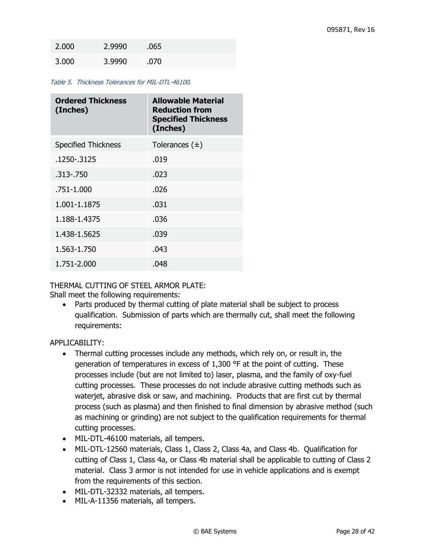| 2.000 | 2.9990 | .065 |
|-------|--------|------|
| 3.000 | 3.9990 | .070 |

#### Table 5. Thickness Tolerances for MIL-DTL-46100.

| <b>Ordered Thickness</b><br>(Inches) | <b>Allowable Material</b><br><b>Reduction from</b><br><b>Specified Thickness</b><br>(Inches) |
|--------------------------------------|----------------------------------------------------------------------------------------------|
| <b>Specified Thickness</b>           | Tolerances $(\pm)$                                                                           |
| .1250-.3125                          | .019                                                                                         |
| .313 - .750                          | .023                                                                                         |
| .751-1.000                           | .026                                                                                         |
| 1.001-1.1875                         | .031                                                                                         |
| 1.188-1.4375                         | .036                                                                                         |
| 1.438-1.5625                         | .039                                                                                         |
| 1.563-1.750                          | .043                                                                                         |
| 1.751-2.000                          | .048                                                                                         |

#### THERMAL CUTTING OF STEEL ARMOR PLATE:

Shall meet the following requirements:

• Parts produced by thermal cutting of plate material shall be subject to process qualification. Submission of parts which are thermally cut, shall meet the following requirements:

#### APPLICABILITY:

- Thermal cutting processes include any methods, which rely on, or result in, the generation of temperatures in excess of  $1,300$  °F at the point of cutting. These processes include (but are not limited to) laser, plasma, and the family of oxy-fuel cutting processes. These processes do not include abrasive cutting methods such as waterjet, abrasive disk or saw, and machining. Products that are first cut by thermal process (such as plasma) and then finished to final dimension by abrasive method (such as machining or grinding) are not subject to the qualification requirements for thermal cutting processes.
- MIL-DTL-46100 materials, all tempers.
- MIL-DTL-12560 materials, Class 1, Class 2, Class 4a, and Class 4b. Qualification for cutting of Class 1, Class 4a, or Class 4b material shall be applicable to cutting of Class 2 material. Class 3 armor is not intended for use in vehicle applications and is exempt from the requirements of this section.
- MIL-DTL-32332 materials, all tempers.
- MIL-A-11356 materials, all tempers.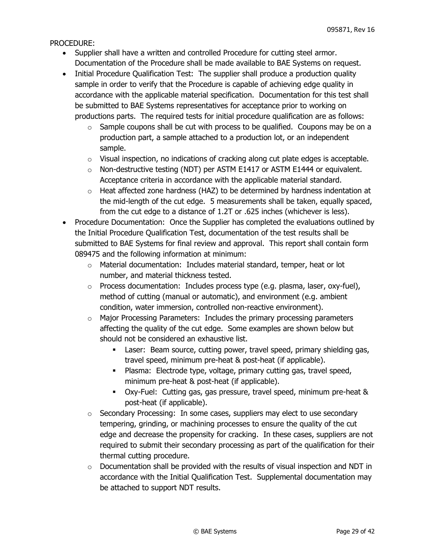PROCEDURE:

- Supplier shall have a written and controlled Procedure for cutting steel armor. Documentation of the Procedure shall be made available to BAE Systems on request.
- Initial Procedure Qualification Test: The supplier shall produce a production quality sample in order to verify that the Procedure is capable of achieving edge quality in accordance with the applicable material specification. Documentation for this test shall be submitted to BAE Systems representatives for acceptance prior to working on productions parts. The required tests for initial procedure qualification are as follows:
	- $\circ$  Sample coupons shall be cut with process to be qualified. Coupons may be on a production part, a sample attached to a production lot, or an independent sample.
	- $\circ$  Visual inspection, no indications of cracking along cut plate edges is acceptable.
	- $\circ$  Non-destructive testing (NDT) per ASTM E1417 or ASTM E1444 or equivalent. Acceptance criteria in accordance with the applicable material standard.
	- $\circ$  Heat affected zone hardness (HAZ) to be determined by hardness indentation at the mid-length of the cut edge. 5 measurements shall be taken, equally spaced, from the cut edge to a distance of 1.2T or .625 inches (whichever is less).
- Procedure Documentation: Once the Supplier has completed the evaluations outlined by the Initial Procedure Qualification Test, documentation of the test results shall be submitted to BAE Systems for final review and approval. This report shall contain form 089475 and the following information at minimum:
	- o Material documentation: Includes material standard, temper, heat or lot number, and material thickness tested.
	- o Process documentation: Includes process type (e.g. plasma, laser, oxy-fuel), method of cutting (manual or automatic), and environment (e.g. ambient condition, water immersion, controlled non-reactive environment).
	- $\circ$  Major Processing Parameters: Includes the primary processing parameters affecting the quality of the cut edge. Some examples are shown below but should not be considered an exhaustive list.
		- Laser: Beam source, cutting power, travel speed, primary shielding gas, travel speed, minimum pre-heat & post-heat (if applicable).
		- Plasma: Electrode type, voltage, primary cutting gas, travel speed, minimum pre-heat & post-heat (if applicable).
		- Oxy-Fuel: Cutting gas, gas pressure, travel speed, minimum pre-heat & post-heat (if applicable).
	- o Secondary Processing: In some cases, suppliers may elect to use secondary tempering, grinding, or machining processes to ensure the quality of the cut edge and decrease the propensity for cracking. In these cases, suppliers are not required to submit their secondary processing as part of the qualification for their thermal cutting procedure.
	- o Documentation shall be provided with the results of visual inspection and NDT in accordance with the Initial Qualification Test. Supplemental documentation may be attached to support NDT results.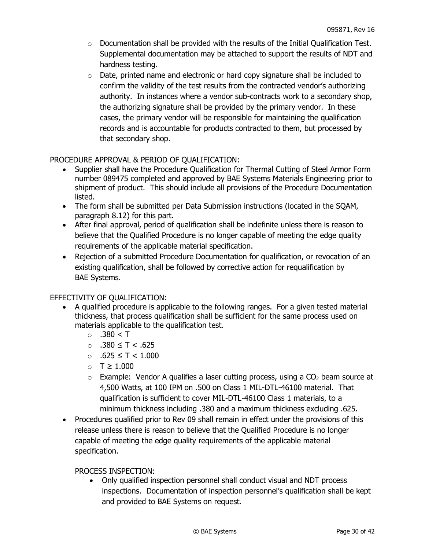- $\circ$  Documentation shall be provided with the results of the Initial Qualification Test. Supplemental documentation may be attached to support the results of NDT and hardness testing.
- $\circ$  Date, printed name and electronic or hard copy signature shall be included to confirm the validity of the test results from the contracted vendor's authorizing authority. In instances where a vendor sub-contracts work to a secondary shop, the authorizing signature shall be provided by the primary vendor. In these cases, the primary vendor will be responsible for maintaining the qualification records and is accountable for products contracted to them, but processed by that secondary shop.

PROCEDURE APPROVAL & PERIOD OF QUALIFICATION:

- Supplier shall have the Procedure Qualification for Thermal Cutting of Steel Armor Form number 089475 completed and approved by BAE Systems Materials Engineering prior to shipment of product. This should include all provisions of the Procedure Documentation listed.
- The form shall be submitted per Data Submission instructions (located in the SQAM, paragraph 8.12) for this part.
- After final approval, period of qualification shall be indefinite unless there is reason to believe that the Qualified Procedure is no longer capable of meeting the edge quality requirements of the applicable material specification.
- Rejection of a submitted Procedure Documentation for qualification, or revocation of an existing qualification, shall be followed by corrective action for requalification by BAE Systems.

EFFECTIVITY OF QUALIFICATION:

- A qualified procedure is applicable to the following ranges. For a given tested material thickness, that process qualification shall be sufficient for the same process used on materials applicable to the qualification test.
	- $\circ$  .380 < T
	- o .380 ≤ T < .625
	- o .625 ≤ T < 1.000
	- o T ≥ 1.000
	- $\circ$  Example: Vendor A qualifies a laser cutting process, using a CO<sub>2</sub> beam source at 4,500 Watts, at 100 IPM on .500 on Class 1 MIL-DTL-46100 material. That qualification is sufficient to cover MIL-DTL-46100 Class 1 materials, to a minimum thickness including .380 and a maximum thickness excluding .625.
- Procedures qualified prior to Rev 09 shall remain in effect under the provisions of this release unless there is reason to believe that the Qualified Procedure is no longer capable of meeting the edge quality requirements of the applicable material specification.

PROCESS INSPECTION:

 Only qualified inspection personnel shall conduct visual and NDT process inspections. Documentation of inspection personnel's qualification shall be kept and provided to BAE Systems on request.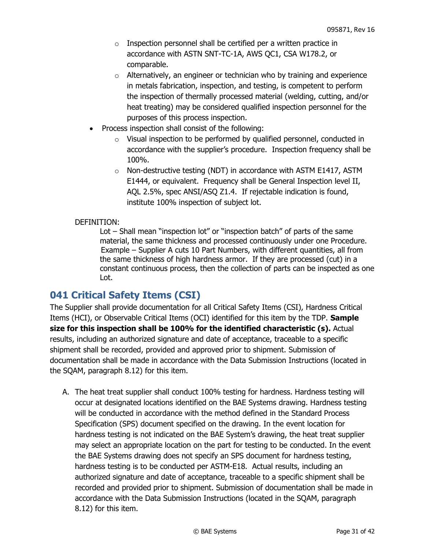- $\circ$  Inspection personnel shall be certified per a written practice in accordance with ASTN SNT-TC-1A, AWS QC1, CSA W178.2, or comparable.
- $\circ$  Alternatively, an engineer or technician who by training and experience in metals fabrication, inspection, and testing, is competent to perform the inspection of thermally processed material (welding, cutting, and/or heat treating) may be considered qualified inspection personnel for the purposes of this process inspection.
- Process inspection shall consist of the following:
	- o Visual inspection to be performed by qualified personnel, conducted in accordance with the supplier's procedure. Inspection frequency shall be 100%.
	- $\circ$  Non-destructive testing (NDT) in accordance with ASTM E1417, ASTM E1444, or equivalent. Frequency shall be General Inspection level II, AQL 2.5%, spec ANSI/ASQ Z1.4. If rejectable indication is found, institute 100% inspection of subject lot.

#### DEFINITION:

Lot – Shall mean "inspection lot" or "inspection batch" of parts of the same material, the same thickness and processed continuously under one Procedure. Example – Supplier A cuts 10 Part Numbers, with different quantities, all from the same thickness of high hardness armor. If they are processed (cut) in a constant continuous process, then the collection of parts can be inspected as one Lot.

# <span id="page-30-0"></span>**041 Critical Safety Items (CSI)**

The Supplier shall provide documentation for all Critical Safety Items (CSI), Hardness Critical Items (HCI), or Observable Critical Items (OCI) identified for this item by the TDP. **Sample size for this inspection shall be 100% for the identified characteristic (s).** Actual results, including an authorized signature and date of acceptance, traceable to a specific shipment shall be recorded, provided and approved prior to shipment. Submission of documentation shall be made in accordance with the Data Submission Instructions (located in the SQAM, paragraph 8.12) for this item.

A. The heat treat supplier shall conduct 100% testing for hardness. Hardness testing will occur at designated locations identified on the BAE Systems drawing. Hardness testing will be conducted in accordance with the method defined in the Standard Process Specification (SPS) document specified on the drawing. In the event location for hardness testing is not indicated on the BAE System's drawing, the heat treat supplier may select an appropriate location on the part for testing to be conducted. In the event the BAE Systems drawing does not specify an SPS document for hardness testing, hardness testing is to be conducted per ASTM-E18. Actual results, including an authorized signature and date of acceptance, traceable to a specific shipment shall be recorded and provided prior to shipment. Submission of documentation shall be made in accordance with the Data Submission Instructions (located in the SQAM, paragraph 8.12) for this item.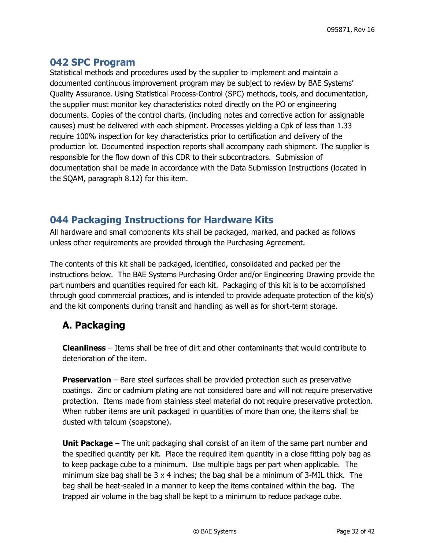### **042 SPC Program**

Statistical methods and procedures used by the supplier to implement and maintain a documented continuous improvement program may be subject to review by BAE Systems' Quality Assurance. Using Statistical Process-Control (SPC) methods, tools, and documentation, the supplier must monitor key characteristics noted directly on the PO or engineering documents. Copies of the control charts, (including notes and corrective action for assignable causes) must be delivered with each shipment. Processes yielding a Cpk of less than 1.33 require 100% inspection for key characteristics prior to certification and delivery of the production lot. Documented inspection reports shall accompany each shipment. The supplier is responsible for the flow down of this CDR to their subcontractors. Submission of documentation shall be made in accordance with the Data Submission Instructions (located in the SQAM, paragraph 8.12) for this item.

# <span id="page-31-0"></span>**044 Packaging Instructions for Hardware Kits**

All hardware and small components kits shall be packaged, marked, and packed as follows unless other requirements are provided through the Purchasing Agreement.

The contents of this kit shall be packaged, identified, consolidated and packed per the instructions below. The BAE Systems Purchasing Order and/or Engineering Drawing provide the part numbers and quantities required for each kit. Packaging of this kit is to be accomplished through good commercial practices, and is intended to provide adequate protection of the kit(s) and the kit components during transit and handling as well as for short-term storage.

# <span id="page-31-1"></span>**A. Packaging**

**Cleanliness** – Items shall be free of dirt and other contaminants that would contribute to deterioration of the item.

**Preservation** – Bare steel surfaces shall be provided protection such as preservative coatings. Zinc or cadmium plating are not considered bare and will not require preservative protection. Items made from stainless steel material do not require preservative protection. When rubber items are unit packaged in quantities of more than one, the items shall be dusted with talcum (soapstone).

**Unit Package** – The unit packaging shall consist of an item of the same part number and the specified quantity per kit. Place the required item quantity in a close fitting poly bag as to keep package cube to a minimum. Use multiple bags per part when applicable. The minimum size bag shall be  $3 \times 4$  inches; the bag shall be a minimum of  $3-MIL$  thick. The bag shall be heat-sealed in a manner to keep the items contained within the bag. The trapped air volume in the bag shall be kept to a minimum to reduce package cube.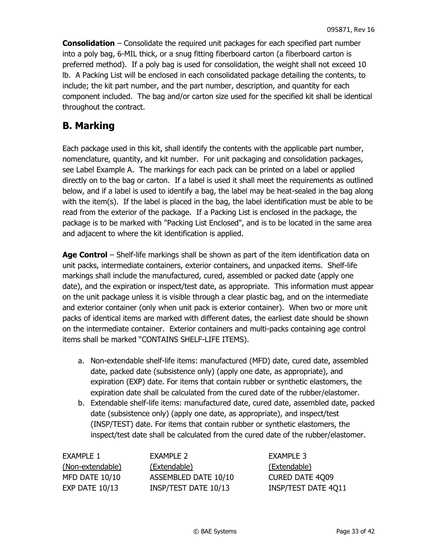**Consolidation** – Consolidate the required unit packages for each specified part number into a poly bag, 6-MIL thick, or a snug fitting fiberboard carton (a fiberboard carton is preferred method). If a poly bag is used for consolidation, the weight shall not exceed 10 lb. A Packing List will be enclosed in each consolidated package detailing the contents, to include; the kit part number, and the part number, description, and quantity for each component included. The bag and/or carton size used for the specified kit shall be identical throughout the contract.

# <span id="page-32-0"></span>**B. Marking**

Each package used in this kit, shall identify the contents with the applicable part number, nomenclature, quantity, and kit number. For unit packaging and consolidation packages, see Label Example A. The markings for each pack can be printed on a label or applied directly on to the bag or carton. If a label is used it shall meet the requirements as outlined below, and if a label is used to identify a bag, the label may be heat-sealed in the bag along with the item(s). If the label is placed in the bag, the label identification must be able to be read from the exterior of the package. If a Packing List is enclosed in the package, the package is to be marked with "Packing List Enclosed", and is to be located in the same area and adjacent to where the kit identification is applied.

**Age Control** – Shelf-life markings shall be shown as part of the item identification data on unit packs, intermediate containers, exterior containers, and unpacked items. Shelf-life markings shall include the manufactured, cured, assembled or packed date (apply one date), and the expiration or inspect/test date, as appropriate. This information must appear on the unit package unless it is visible through a clear plastic bag, and on the intermediate and exterior container (only when unit pack is exterior container). When two or more unit packs of identical items are marked with different dates, the earliest date should be shown on the intermediate container. Exterior containers and multi-packs containing age control items shall be marked "CONTAINS SHELF-LIFE ITEMS).

- a. Non-extendable shelf-life items: manufactured (MFD) date, cured date, assembled date, packed date (subsistence only) (apply one date, as appropriate), and expiration (EXP) date. For items that contain rubber or synthetic elastomers, the expiration date shall be calculated from the cured date of the rubber/elastomer.
- b. Extendable shelf-life items: manufactured date, cured date, assembled date, packed date (subsistence only) (apply one date, as appropriate), and inspect/test (INSP/TEST) date. For items that contain rubber or synthetic elastomers, the inspect/test date shall be calculated from the cured date of the rubber/elastomer.

EXAMPLE 1 EXAMPLE 2 EXAMPLE 3 (Non-extendable) (Extendable) (Extendable) MFD DATE 10/10 ASSEMBLED DATE 10/10 CURED DATE 4Q09 EXP DATE 10/13 INSP/TEST DATE 10/13 INSP/TEST DATE 4Q11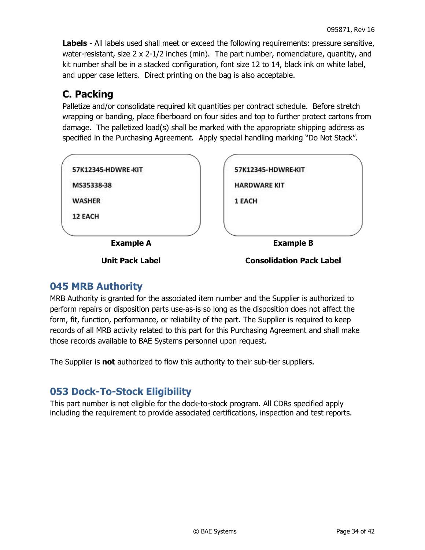**Labels** - All labels used shall meet or exceed the following requirements: pressure sensitive, water-resistant, size  $2 \times 2$ -1/2 inches (min). The part number, nomenclature, quantity, and kit number shall be in a stacked configuration, font size 12 to 14, black ink on white label, and upper case letters. Direct printing on the bag is also acceptable.

# <span id="page-33-0"></span>**C. Packing**

Palletize and/or consolidate required kit quantities per contract schedule. Before stretch wrapping or banding, place fiberboard on four sides and top to further protect cartons from damage. The palletized load(s) shall be marked with the appropriate shipping address as specified in the Purchasing Agreement. Apply special handling marking "Do Not Stack".



# <span id="page-33-1"></span>**045 MRB Authority**

MRB Authority is granted for the associated item number and the Supplier is authorized to perform repairs or disposition parts use-as-is so long as the disposition does not affect the form, fit, function, performance, or reliability of the part. The Supplier is required to keep records of all MRB activity related to this part for this Purchasing Agreement and shall make those records available to BAE Systems personnel upon request.

The Supplier is **not** authorized to flow this authority to their sub-tier suppliers.

# <span id="page-33-2"></span>**053 Dock-To-Stock Eligibility**

This part number is not eligible for the dock-to-stock program. All CDRs specified apply including the requirement to provide associated certifications, inspection and test reports.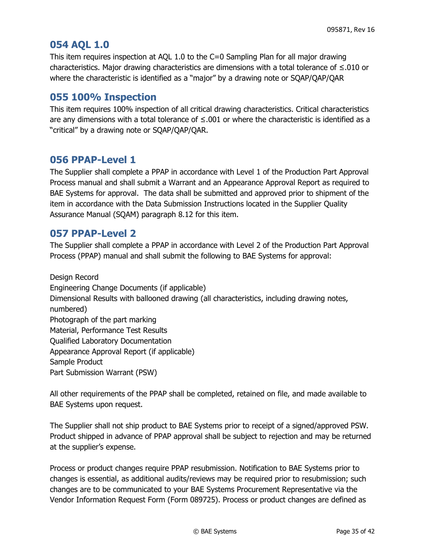#### <span id="page-34-0"></span>**054 AQL 1.0**

This item requires inspection at AQL 1.0 to the C=0 Sampling Plan for all major drawing characteristics. Major drawing characteristics are dimensions with a total tolerance of ≤.010 or where the characteristic is identified as a "major" by a drawing note or SQAP/QAP/QAR

### <span id="page-34-1"></span>**055 100% Inspection**

This item requires 100% inspection of all critical drawing characteristics. Critical characteristics are any dimensions with a total tolerance of  $\leq$ .001 or where the characteristic is identified as a "critical" by a drawing note or SQAP/QAP/QAR.

### <span id="page-34-2"></span>**056 PPAP-Level 1**

The Supplier shall complete a PPAP in accordance with Level 1 of the Production Part Approval Process manual and shall submit a Warrant and an Appearance Approval Report as required to BAE Systems for approval. The data shall be submitted and approved prior to shipment of the item in accordance with the Data Submission Instructions located in the Supplier Quality Assurance Manual (SQAM) paragraph 8.12 for this item.

### <span id="page-34-3"></span>**057 PPAP-Level 2**

The Supplier shall complete a PPAP in accordance with Level 2 of the Production Part Approval Process (PPAP) manual and shall submit the following to BAE Systems for approval:

Design Record Engineering Change Documents (if applicable) Dimensional Results with ballooned drawing (all characteristics, including drawing notes, numbered) Photograph of the part marking Material, Performance Test Results Qualified Laboratory Documentation Appearance Approval Report (if applicable) Sample Product Part Submission Warrant (PSW)

All other requirements of the PPAP shall be completed, retained on file, and made available to BAE Systems upon request.

The Supplier shall not ship product to BAE Systems prior to receipt of a signed/approved PSW. Product shipped in advance of PPAP approval shall be subject to rejection and may be returned at the supplier's expense.

Process or product changes require PPAP resubmission. Notification to BAE Systems prior to changes is essential, as additional audits/reviews may be required prior to resubmission; such changes are to be communicated to your BAE Systems Procurement Representative via the Vendor Information Request Form (Form 089725). Process or product changes are defined as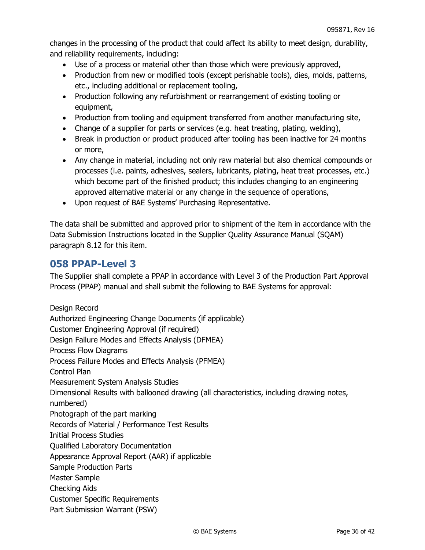changes in the processing of the product that could affect its ability to meet design, durability, and reliability requirements, including:

- Use of a process or material other than those which were previously approved,
- Production from new or modified tools (except perishable tools), dies, molds, patterns, etc., including additional or replacement tooling,
- Production following any refurbishment or rearrangement of existing tooling or equipment,
- Production from tooling and equipment transferred from another manufacturing site,
- Change of a supplier for parts or services (e.g. heat treating, plating, welding),
- Break in production or product produced after tooling has been inactive for 24 months or more,
- Any change in material, including not only raw material but also chemical compounds or processes (i.e. paints, adhesives, sealers, lubricants, plating, heat treat processes, etc.) which become part of the finished product; this includes changing to an engineering approved alternative material or any change in the sequence of operations,
- Upon request of BAE Systems' Purchasing Representative.

The data shall be submitted and approved prior to shipment of the item in accordance with the Data Submission Instructions located in the Supplier Quality Assurance Manual (SQAM) paragraph 8.12 for this item.

# <span id="page-35-0"></span>**058 PPAP-Level 3**

The Supplier shall complete a PPAP in accordance with Level 3 of the Production Part Approval Process (PPAP) manual and shall submit the following to BAE Systems for approval:

Design Record Authorized Engineering Change Documents (if applicable) Customer Engineering Approval (if required) Design Failure Modes and Effects Analysis (DFMEA) Process Flow Diagrams Process Failure Modes and Effects Analysis (PFMEA) Control Plan Measurement System Analysis Studies Dimensional Results with ballooned drawing (all characteristics, including drawing notes, numbered) Photograph of the part marking Records of Material / Performance Test Results Initial Process Studies Qualified Laboratory Documentation Appearance Approval Report (AAR) if applicable Sample Production Parts Master Sample Checking Aids Customer Specific Requirements Part Submission Warrant (PSW)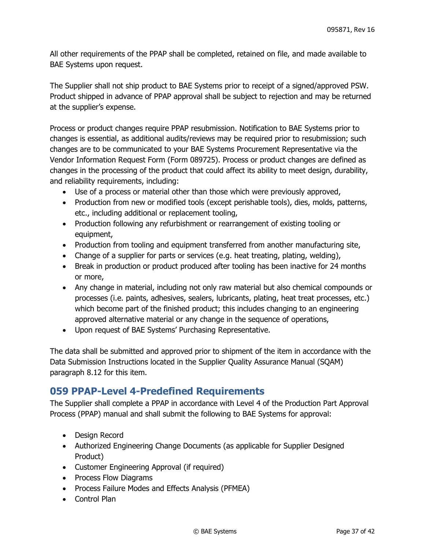All other requirements of the PPAP shall be completed, retained on file, and made available to BAE Systems upon request.

The Supplier shall not ship product to BAE Systems prior to receipt of a signed/approved PSW. Product shipped in advance of PPAP approval shall be subject to rejection and may be returned at the supplier's expense.

Process or product changes require PPAP resubmission. Notification to BAE Systems prior to changes is essential, as additional audits/reviews may be required prior to resubmission; such changes are to be communicated to your BAE Systems Procurement Representative via the Vendor Information Request Form (Form 089725). Process or product changes are defined as changes in the processing of the product that could affect its ability to meet design, durability, and reliability requirements, including:

- Use of a process or material other than those which were previously approved,
- Production from new or modified tools (except perishable tools), dies, molds, patterns, etc., including additional or replacement tooling,
- Production following any refurbishment or rearrangement of existing tooling or equipment,
- Production from tooling and equipment transferred from another manufacturing site,
- Change of a supplier for parts or services (e.g. heat treating, plating, welding),
- Break in production or product produced after tooling has been inactive for 24 months or more,
- Any change in material, including not only raw material but also chemical compounds or processes (i.e. paints, adhesives, sealers, lubricants, plating, heat treat processes, etc.) which become part of the finished product; this includes changing to an engineering approved alternative material or any change in the sequence of operations,
- Upon request of BAE Systems' Purchasing Representative.

The data shall be submitted and approved prior to shipment of the item in accordance with the Data Submission Instructions located in the Supplier Quality Assurance Manual (SQAM) paragraph 8.12 for this item.

# <span id="page-36-0"></span>**059 PPAP-Level 4-Predefined Requirements**

The Supplier shall complete a PPAP in accordance with Level 4 of the Production Part Approval Process (PPAP) manual and shall submit the following to BAE Systems for approval:

- Design Record
- Authorized Engineering Change Documents (as applicable for Supplier Designed Product)
- Customer Engineering Approval (if required)
- Process Flow Diagrams
- Process Failure Modes and Effects Analysis (PFMEA)
- Control Plan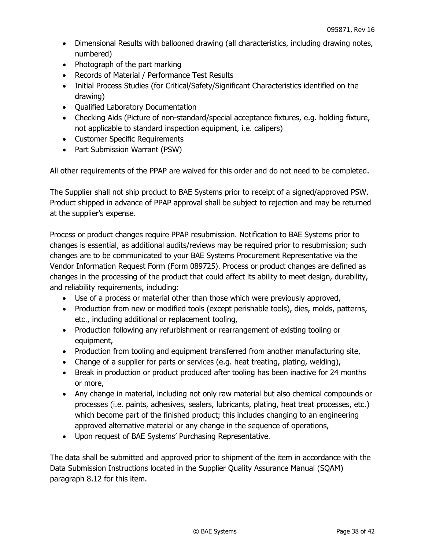- Dimensional Results with ballooned drawing (all characteristics, including drawing notes, numbered)
- Photograph of the part marking
- Records of Material / Performance Test Results
- Initial Process Studies (for Critical/Safety/Significant Characteristics identified on the drawing)
- Qualified Laboratory Documentation
- Checking Aids (Picture of non-standard/special acceptance fixtures, e.g. holding fixture, not applicable to standard inspection equipment, i.e. calipers)
- Customer Specific Requirements
- Part Submission Warrant (PSW)

All other requirements of the PPAP are waived for this order and do not need to be completed.

The Supplier shall not ship product to BAE Systems prior to receipt of a signed/approved PSW. Product shipped in advance of PPAP approval shall be subject to rejection and may be returned at the supplier's expense.

Process or product changes require PPAP resubmission. Notification to BAE Systems prior to changes is essential, as additional audits/reviews may be required prior to resubmission; such changes are to be communicated to your BAE Systems Procurement Representative via the Vendor Information Request Form (Form 089725). Process or product changes are defined as changes in the processing of the product that could affect its ability to meet design, durability, and reliability requirements, including:

- Use of a process or material other than those which were previously approved,
- Production from new or modified tools (except perishable tools), dies, molds, patterns, etc., including additional or replacement tooling,
- Production following any refurbishment or rearrangement of existing tooling or equipment,
- Production from tooling and equipment transferred from another manufacturing site,
- Change of a supplier for parts or services (e.g. heat treating, plating, welding),
- Break in production or product produced after tooling has been inactive for 24 months or more,
- Any change in material, including not only raw material but also chemical compounds or processes (i.e. paints, adhesives, sealers, lubricants, plating, heat treat processes, etc.) which become part of the finished product; this includes changing to an engineering approved alternative material or any change in the sequence of operations,
- Upon request of BAE Systems' Purchasing Representative.

The data shall be submitted and approved prior to shipment of the item in accordance with the Data Submission Instructions located in the Supplier Quality Assurance Manual (SQAM) paragraph 8.12 for this item.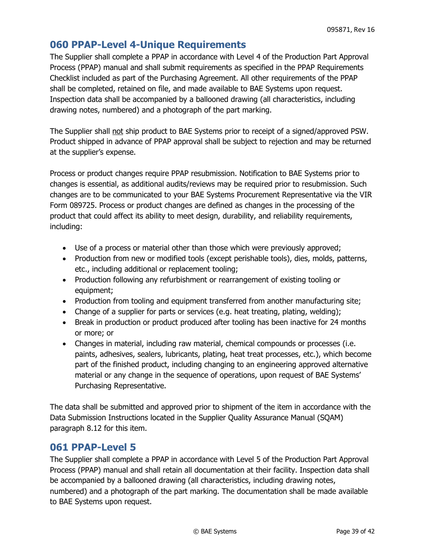### <span id="page-38-0"></span>**060 PPAP-Level 4-Unique Requirements**

The Supplier shall complete a PPAP in accordance with Level 4 of the Production Part Approval Process (PPAP) manual and shall submit requirements as specified in the PPAP Requirements Checklist included as part of the Purchasing Agreement. All other requirements of the PPAP shall be completed, retained on file, and made available to BAE Systems upon request. Inspection data shall be accompanied by a ballooned drawing (all characteristics, including drawing notes, numbered) and a photograph of the part marking.

The Supplier shall not ship product to BAE Systems prior to receipt of a signed/approved PSW. Product shipped in advance of PPAP approval shall be subject to rejection and may be returned at the supplier's expense.

Process or product changes require PPAP resubmission. Notification to BAE Systems prior to changes is essential, as additional audits/reviews may be required prior to resubmission. Such changes are to be communicated to your BAE Systems Procurement Representative via the VIR Form 089725. Process or product changes are defined as changes in the processing of the product that could affect its ability to meet design, durability, and reliability requirements, including:

- Use of a process or material other than those which were previously approved;
- Production from new or modified tools (except perishable tools), dies, molds, patterns, etc., including additional or replacement tooling;
- Production following any refurbishment or rearrangement of existing tooling or equipment;
- Production from tooling and equipment transferred from another manufacturing site;
- Change of a supplier for parts or services (e.g. heat treating, plating, welding);
- Break in production or product produced after tooling has been inactive for 24 months or more; or
- Changes in material, including raw material, chemical compounds or processes (i.e. paints, adhesives, sealers, lubricants, plating, heat treat processes, etc.), which become part of the finished product, including changing to an engineering approved alternative material or any change in the sequence of operations, upon request of BAE Systems' Purchasing Representative.

The data shall be submitted and approved prior to shipment of the item in accordance with the Data Submission Instructions located in the Supplier Quality Assurance Manual (SQAM) paragraph 8.12 for this item.

#### <span id="page-38-1"></span>**061 PPAP-Level 5**

The Supplier shall complete a PPAP in accordance with Level 5 of the Production Part Approval Process (PPAP) manual and shall retain all documentation at their facility. Inspection data shall be accompanied by a ballooned drawing (all characteristics, including drawing notes, numbered) and a photograph of the part marking. The documentation shall be made available to BAE Systems upon request.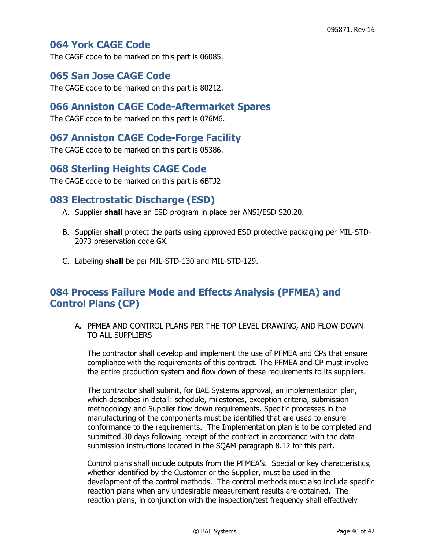#### <span id="page-39-0"></span>**064 York CAGE Code**

The CAGE code to be marked on this part is 06085.

### <span id="page-39-1"></span>**065 San Jose CAGE Code**

The CAGE code to be marked on this part is 80212.

#### <span id="page-39-2"></span>**066 Anniston CAGE Code-Aftermarket Spares**

The CAGE code to be marked on this part is 076M6.

#### <span id="page-39-3"></span>**067 Anniston CAGE Code-Forge Facility**

The CAGE code to be marked on this part is 05386.

# <span id="page-39-4"></span>**068 Sterling Heights CAGE Code**

The CAGE code to be marked on this part is 6BTJ2

#### <span id="page-39-5"></span>**083 Electrostatic Discharge (ESD)**

- A. Supplier **shall** have an ESD program in place per ANSI/ESD S20.20.
- B. Supplier **shall** protect the parts using approved ESD protective packaging per MIL-STD-2073 preservation code GX.
- C. Labeling **shall** be per MIL-STD-130 and MIL-STD-129.

# <span id="page-39-6"></span>**084 Process Failure Mode and Effects Analysis (PFMEA) and Control Plans (CP)**

A. PFMEA AND CONTROL PLANS PER THE TOP LEVEL DRAWING, AND FLOW DOWN TO ALL SUPPLIERS

The contractor shall develop and implement the use of PFMEA and CPs that ensure compliance with the requirements of this contract. The PFMEA and CP must involve the entire production system and flow down of these requirements to its suppliers.

The contractor shall submit, for BAE Systems approval, an implementation plan, which describes in detail: schedule, milestones, exception criteria, submission methodology and Supplier flow down requirements. Specific processes in the manufacturing of the components must be identified that are used to ensure conformance to the requirements. The Implementation plan is to be completed and submitted 30 days following receipt of the contract in accordance with the data submission instructions located in the SQAM paragraph 8.12 for this part.

Control plans shall include outputs from the PFMEA's. Special or key characteristics, whether identified by the Customer or the Supplier, must be used in the development of the control methods. The control methods must also include specific reaction plans when any undesirable measurement results are obtained. The reaction plans, in conjunction with the inspection/test frequency shall effectively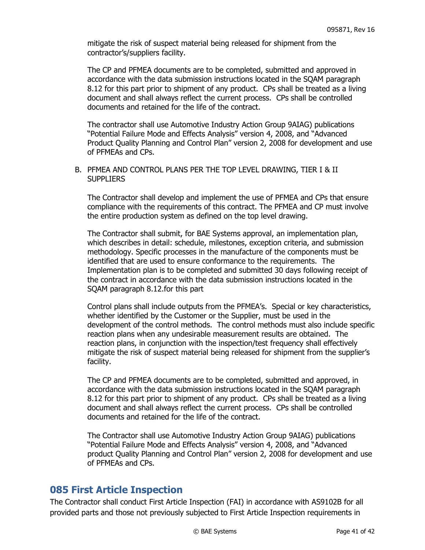mitigate the risk of suspect material being released for shipment from the contractor's/suppliers facility.

The CP and PFMEA documents are to be completed, submitted and approved in accordance with the data submission instructions located in the SQAM paragraph 8.12 for this part prior to shipment of any product. CPs shall be treated as a living document and shall always reflect the current process. CPs shall be controlled documents and retained for the life of the contract.

The contractor shall use Automotive Industry Action Group 9AIAG) publications "Potential Failure Mode and Effects Analysis" version 4, 2008, and "Advanced Product Quality Planning and Control Plan" version 2, 2008 for development and use of PFMEAs and CPs.

#### B. PFMEA AND CONTROL PLANS PER THE TOP LEVEL DRAWING, TIER I & II **SUPPLIERS**

The Contractor shall develop and implement the use of PFMEA and CPs that ensure compliance with the requirements of this contract. The PFMEA and CP must involve the entire production system as defined on the top level drawing.

The Contractor shall submit, for BAE Systems approval, an implementation plan, which describes in detail: schedule, milestones, exception criteria, and submission methodology. Specific processes in the manufacture of the components must be identified that are used to ensure conformance to the requirements. The Implementation plan is to be completed and submitted 30 days following receipt of the contract in accordance with the data submission instructions located in the SQAM paragraph 8.12.for this part

Control plans shall include outputs from the PFMEA's. Special or key characteristics, whether identified by the Customer or the Supplier, must be used in the development of the control methods. The control methods must also include specific reaction plans when any undesirable measurement results are obtained. The reaction plans, in conjunction with the inspection/test frequency shall effectively mitigate the risk of suspect material being released for shipment from the supplier's facility.

The CP and PFMEA documents are to be completed, submitted and approved, in accordance with the data submission instructions located in the SQAM paragraph 8.12 for this part prior to shipment of any product. CPs shall be treated as a living document and shall always reflect the current process. CPs shall be controlled documents and retained for the life of the contract.

The Contractor shall use Automotive Industry Action Group 9AIAG) publications "Potential Failure Mode and Effects Analysis" version 4, 2008, and "Advanced product Quality Planning and Control Plan" version 2, 2008 for development and use of PFMEAs and CPs.

#### <span id="page-40-0"></span>**085 First Article Inspection**

The Contractor shall conduct First Article Inspection (FAI) in accordance with AS9102B for all provided parts and those not previously subjected to First Article Inspection requirements in